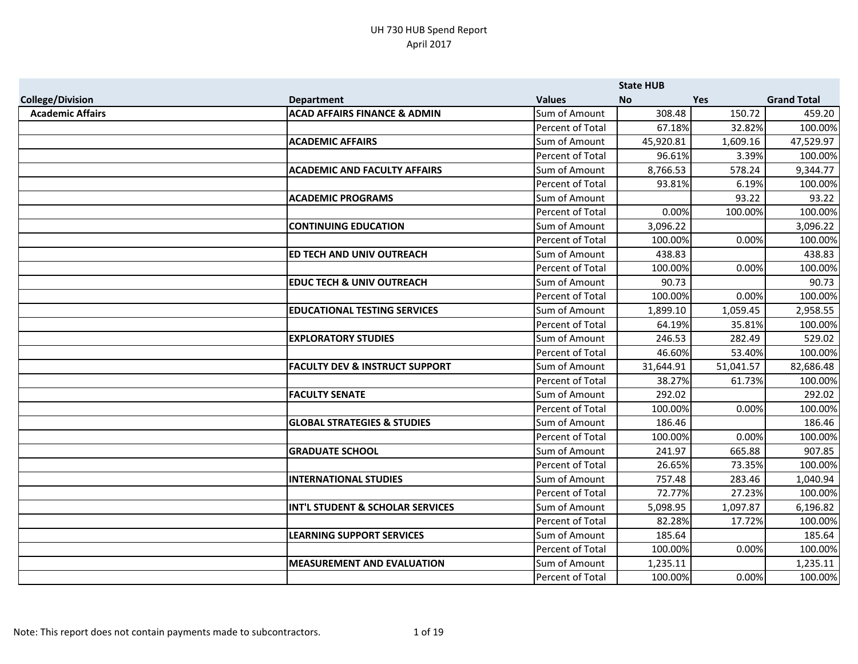|                         |                                           |                         | <b>State HUB</b> |            |                    |
|-------------------------|-------------------------------------------|-------------------------|------------------|------------|--------------------|
| <b>College/Division</b> | <b>Department</b>                         | <b>Values</b>           | <b>No</b>        | <b>Yes</b> | <b>Grand Total</b> |
| <b>Academic Affairs</b> | <b>ACAD AFFAIRS FINANCE &amp; ADMIN</b>   | Sum of Amount           | 308.48           | 150.72     | 459.20             |
|                         |                                           | Percent of Total        | 67.18%           | 32.82%     | 100.00%            |
|                         | <b>ACADEMIC AFFAIRS</b>                   | Sum of Amount           | 45,920.81        | 1,609.16   | 47,529.97          |
|                         |                                           | Percent of Total        | 96.61%           | 3.39%      | 100.00%            |
|                         | <b>ACADEMIC AND FACULTY AFFAIRS</b>       | Sum of Amount           | 8,766.53         | 578.24     | 9,344.77           |
|                         |                                           | Percent of Total        | 93.81%           | 6.19%      | 100.00%            |
|                         | <b>ACADEMIC PROGRAMS</b>                  | Sum of Amount           |                  | 93.22      | 93.22              |
|                         |                                           | Percent of Total        | 0.00%            | 100.00%    | 100.00%            |
|                         | <b>CONTINUING EDUCATION</b>               | Sum of Amount           | 3,096.22         |            | 3,096.22           |
|                         |                                           | <b>Percent of Total</b> | 100.00%          | 0.00%      | 100.00%            |
|                         | <b>ED TECH AND UNIV OUTREACH</b>          | Sum of Amount           | 438.83           |            | 438.83             |
|                         |                                           | Percent of Total        | 100.00%          | 0.00%      | 100.00%            |
|                         | <b>EDUC TECH &amp; UNIV OUTREACH</b>      | Sum of Amount           | 90.73            |            | 90.73              |
|                         |                                           | Percent of Total        | 100.00%          | 0.00%      | 100.00%            |
|                         | <b>EDUCATIONAL TESTING SERVICES</b>       | Sum of Amount           | 1,899.10         | 1,059.45   | 2,958.55           |
|                         |                                           | Percent of Total        | 64.19%           | 35.81%     | 100.00%            |
|                         | <b>EXPLORATORY STUDIES</b>                | Sum of Amount           | 246.53           | 282.49     | 529.02             |
|                         |                                           | Percent of Total        | 46.60%           | 53.40%     | 100.00%            |
|                         | <b>FACULTY DEV &amp; INSTRUCT SUPPORT</b> | Sum of Amount           | 31,644.91        | 51,041.57  | 82,686.48          |
|                         |                                           | Percent of Total        | 38.27%           | 61.73%     | 100.00%            |
|                         | <b>FACULTY SENATE</b>                     | Sum of Amount           | 292.02           |            | 292.02             |
|                         |                                           | Percent of Total        | 100.00%          | 0.00%      | 100.00%            |
|                         | <b>GLOBAL STRATEGIES &amp; STUDIES</b>    | Sum of Amount           | 186.46           |            | 186.46             |
|                         |                                           | Percent of Total        | 100.00%          | 0.00%      | 100.00%            |
|                         | <b>GRADUATE SCHOOL</b>                    | Sum of Amount           | 241.97           | 665.88     | 907.85             |
|                         |                                           | Percent of Total        | 26.65%           | 73.35%     | 100.00%            |
|                         | <b>INTERNATIONAL STUDIES</b>              | Sum of Amount           | 757.48           | 283.46     | 1,040.94           |
|                         |                                           | Percent of Total        | 72.77%           | 27.23%     | 100.00%            |
|                         | INT'L STUDENT & SCHOLAR SERVICES          | Sum of Amount           | 5,098.95         | 1,097.87   | 6,196.82           |
|                         |                                           | Percent of Total        | 82.28%           | 17.72%     | 100.00%            |
|                         | <b>LEARNING SUPPORT SERVICES</b>          | Sum of Amount           | 185.64           |            | 185.64             |
|                         |                                           | Percent of Total        | 100.00%          | 0.00%      | 100.00%            |
|                         | <b>MEASUREMENT AND EVALUATION</b>         | Sum of Amount           | 1,235.11         |            | 1,235.11           |
|                         |                                           | <b>Percent of Total</b> | 100.00%          | 0.00%      | 100.00%            |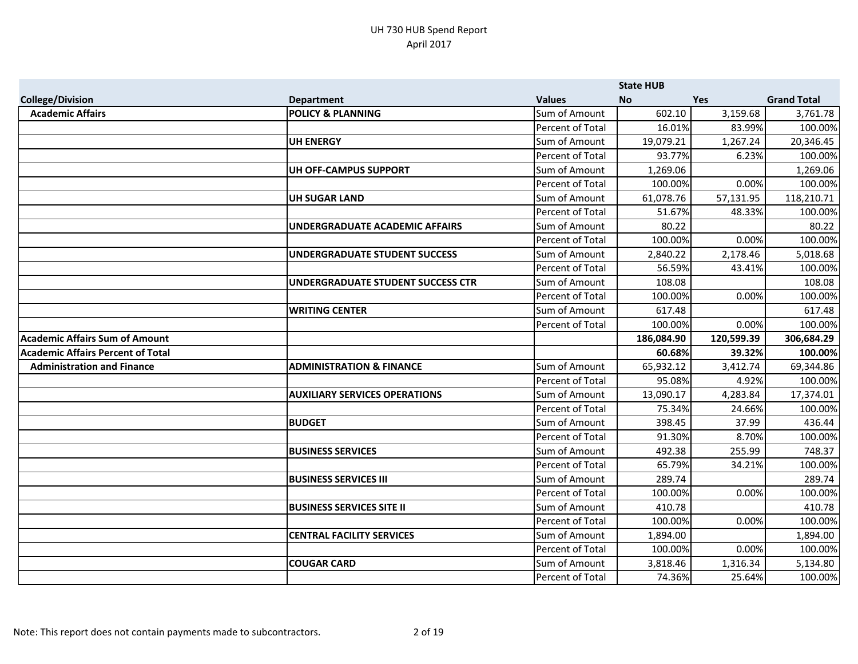|                                          |                                      |                         | <b>State HUB</b> |            |                    |
|------------------------------------------|--------------------------------------|-------------------------|------------------|------------|--------------------|
| <b>College/Division</b>                  | <b>Department</b>                    | <b>Values</b>           | <b>No</b>        | <b>Yes</b> | <b>Grand Total</b> |
| <b>Academic Affairs</b>                  | <b>POLICY &amp; PLANNING</b>         | Sum of Amount           | 602.10           | 3,159.68   | 3,761.78           |
|                                          |                                      | Percent of Total        | 16.01%           | 83.99%     | 100.00%            |
|                                          | <b>UH ENERGY</b>                     | Sum of Amount           | 19,079.21        | 1,267.24   | 20,346.45          |
|                                          |                                      | Percent of Total        | 93.77%           | 6.23%      | 100.00%            |
|                                          | UH OFF-CAMPUS SUPPORT                | Sum of Amount           | 1,269.06         |            | 1,269.06           |
|                                          |                                      | Percent of Total        | 100.00%          | 0.00%      | 100.00%            |
|                                          | UH SUGAR LAND                        | Sum of Amount           | 61,078.76        | 57,131.95  | 118,210.71         |
|                                          |                                      | <b>Percent of Total</b> | 51.67%           | 48.33%     | 100.00%            |
|                                          | UNDERGRADUATE ACADEMIC AFFAIRS       | Sum of Amount           | 80.22            |            | 80.22              |
|                                          |                                      | Percent of Total        | 100.00%          | 0.00%      | 100.00%            |
|                                          | UNDERGRADUATE STUDENT SUCCESS        | Sum of Amount           | 2,840.22         | 2,178.46   | 5,018.68           |
|                                          |                                      | Percent of Total        | 56.59%           | 43.41%     | 100.00%            |
|                                          | UNDERGRADUATE STUDENT SUCCESS CTR    | Sum of Amount           | 108.08           |            | 108.08             |
|                                          |                                      | Percent of Total        | 100.00%          | 0.00%      | 100.00%            |
|                                          | <b>WRITING CENTER</b>                | Sum of Amount           | 617.48           |            | 617.48             |
|                                          |                                      | Percent of Total        | 100.00%          | 0.00%      | 100.00%            |
| <b>Academic Affairs Sum of Amount</b>    |                                      |                         | 186,084.90       | 120,599.39 | 306,684.29         |
| <b>Academic Affairs Percent of Total</b> |                                      |                         | 60.68%           | 39.32%     | 100.00%            |
| <b>Administration and Finance</b>        | <b>ADMINISTRATION &amp; FINANCE</b>  | Sum of Amount           | 65,932.12        | 3,412.74   | 69,344.86          |
|                                          |                                      | Percent of Total        | 95.08%           | 4.92%      | 100.00%            |
|                                          | <b>AUXILIARY SERVICES OPERATIONS</b> | Sum of Amount           | 13,090.17        | 4,283.84   | 17,374.01          |
|                                          |                                      | Percent of Total        | 75.34%           | 24.66%     | 100.00%            |
|                                          | <b>BUDGET</b>                        | Sum of Amount           | 398.45           | 37.99      | 436.44             |
|                                          |                                      | Percent of Total        | 91.30%           | 8.70%      | 100.00%            |
|                                          | <b>BUSINESS SERVICES</b>             | Sum of Amount           | 492.38           | 255.99     | 748.37             |
|                                          |                                      | Percent of Total        | 65.79%           | 34.21%     | 100.00%            |
|                                          | <b>BUSINESS SERVICES III</b>         | Sum of Amount           | 289.74           |            | 289.74             |
|                                          |                                      | Percent of Total        | 100.00%          | 0.00%      | 100.00%            |
|                                          | <b>BUSINESS SERVICES SITE II</b>     | Sum of Amount           | 410.78           |            | 410.78             |
|                                          |                                      | Percent of Total        | 100.00%          | 0.00%      | 100.00%            |
|                                          |                                      | Sum of Amount           | 1,894.00         |            | 1,894.00           |
|                                          | <b>CENTRAL FACILITY SERVICES</b>     |                         |                  |            |                    |
|                                          |                                      | Percent of Total        | 100.00%          | 0.00%      | 100.00%            |
|                                          | <b>COUGAR CARD</b>                   | Sum of Amount           | 3,818.46         | 1,316.34   | 5,134.80           |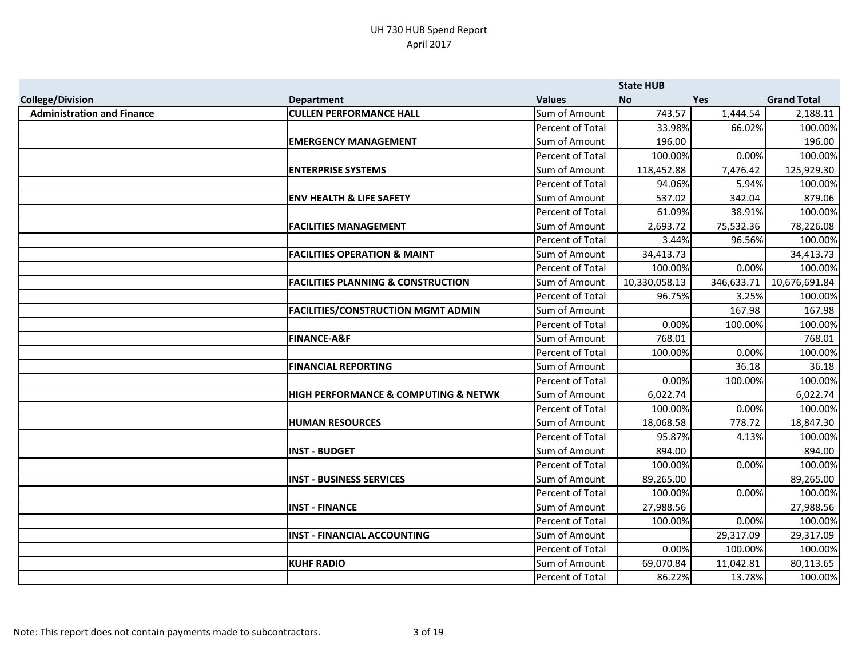|                                   |                                                     |                  | <b>State HUB</b> |            |                    |
|-----------------------------------|-----------------------------------------------------|------------------|------------------|------------|--------------------|
| <b>College/Division</b>           | <b>Department</b>                                   | <b>Values</b>    | <b>No</b>        | Yes        | <b>Grand Total</b> |
| <b>Administration and Finance</b> | <b>CULLEN PERFORMANCE HALL</b>                      | Sum of Amount    | 743.57           | 1,444.54   | 2,188.11           |
|                                   |                                                     | Percent of Total | 33.98%           | 66.02%     | 100.00%            |
|                                   | <b>EMERGENCY MANAGEMENT</b>                         | Sum of Amount    | 196.00           |            | 196.00             |
|                                   |                                                     | Percent of Total | 100.00%          | 0.00%      | 100.00%            |
|                                   | <b>ENTERPRISE SYSTEMS</b>                           | Sum of Amount    | 118,452.88       | 7,476.42   | 125,929.30         |
|                                   |                                                     | Percent of Total | 94.06%           | 5.94%      | 100.00%            |
|                                   | <b>ENV HEALTH &amp; LIFE SAFETY</b>                 | Sum of Amount    | 537.02           | 342.04     | 879.06             |
|                                   |                                                     | Percent of Total | 61.09%           | 38.91%     | 100.00%            |
|                                   | <b>FACILITIES MANAGEMENT</b>                        | Sum of Amount    | 2,693.72         | 75,532.36  | 78,226.08          |
|                                   |                                                     | Percent of Total | 3.44%            | 96.56%     | 100.00%            |
|                                   | <b>FACILITIES OPERATION &amp; MAINT</b>             | Sum of Amount    | 34,413.73        |            | 34,413.73          |
|                                   |                                                     | Percent of Total | 100.00%          | 0.00%      | 100.00%            |
|                                   | <b>FACILITIES PLANNING &amp; CONSTRUCTION</b>       | Sum of Amount    | 10,330,058.13    | 346,633.71 | 10,676,691.84      |
|                                   |                                                     | Percent of Total | 96.75%           | 3.25%      | 100.00%            |
|                                   | <b>FACILITIES/CONSTRUCTION MGMT ADMIN</b>           | Sum of Amount    |                  | 167.98     | 167.98             |
|                                   |                                                     | Percent of Total | 0.00%            | 100.00%    | 100.00%            |
|                                   | <b>FINANCE-A&amp;F</b>                              | Sum of Amount    | 768.01           |            | 768.01             |
|                                   |                                                     | Percent of Total | 100.00%          | 0.00%      | 100.00%            |
|                                   | <b>FINANCIAL REPORTING</b>                          | Sum of Amount    |                  | 36.18      | 36.18              |
|                                   |                                                     | Percent of Total | 0.00%            | 100.00%    | 100.00%            |
|                                   | <b>HIGH PERFORMANCE &amp; COMPUTING &amp; NETWK</b> | Sum of Amount    | 6,022.74         |            | 6,022.74           |
|                                   |                                                     | Percent of Total | 100.00%          | 0.00%      | 100.00%            |
|                                   | <b>HUMAN RESOURCES</b>                              | Sum of Amount    | 18,068.58        | 778.72     | 18,847.30          |
|                                   |                                                     | Percent of Total | 95.87%           | 4.13%      | 100.00%            |
|                                   | <b>INST - BUDGET</b>                                | Sum of Amount    | 894.00           |            | 894.00             |
|                                   |                                                     | Percent of Total | 100.00%          | 0.00%      | 100.00%            |
|                                   | <b>INST - BUSINESS SERVICES</b>                     | Sum of Amount    | 89,265.00        |            | 89,265.00          |
|                                   |                                                     | Percent of Total | 100.00%          | 0.00%      | 100.00%            |
|                                   | <b>INST - FINANCE</b>                               | Sum of Amount    | 27,988.56        |            | 27,988.56          |
|                                   |                                                     | Percent of Total | 100.00%          | 0.00%      | 100.00%            |
|                                   | <b>INST - FINANCIAL ACCOUNTING</b>                  | Sum of Amount    |                  | 29,317.09  | 29,317.09          |
|                                   |                                                     | Percent of Total | 0.00%            | 100.00%    | 100.00%            |
|                                   | <b>KUHF RADIO</b>                                   | Sum of Amount    | 69,070.84        | 11,042.81  | 80,113.65          |
|                                   |                                                     | Percent of Total | 86.22%           | 13.78%     | 100.00%            |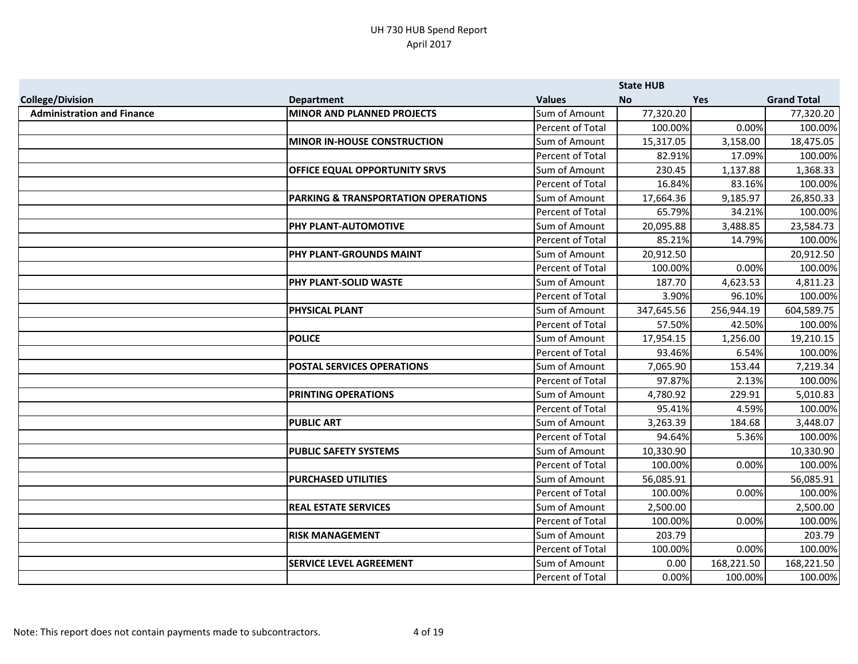|                                   |                                                |                         | <b>State HUB</b> |            |                    |
|-----------------------------------|------------------------------------------------|-------------------------|------------------|------------|--------------------|
| <b>College/Division</b>           | <b>Department</b>                              | <b>Values</b>           | <b>No</b>        | Yes        | <b>Grand Total</b> |
| <b>Administration and Finance</b> | <b>MINOR AND PLANNED PROJECTS</b>              | Sum of Amount           | 77,320.20        |            | 77,320.20          |
|                                   |                                                | Percent of Total        | 100.00%          | 0.00%      | 100.00%            |
|                                   | <b>MINOR IN-HOUSE CONSTRUCTION</b>             | Sum of Amount           | 15,317.05        | 3,158.00   | 18,475.05          |
|                                   |                                                | Percent of Total        | 82.91%           | 17.09%     | 100.00%            |
|                                   | OFFICE EQUAL OPPORTUNITY SRVS                  | Sum of Amount           | 230.45           | 1,137.88   | 1,368.33           |
|                                   |                                                | Percent of Total        | 16.84%           | 83.16%     | 100.00%            |
|                                   | <b>PARKING &amp; TRANSPORTATION OPERATIONS</b> | Sum of Amount           | 17,664.36        | 9,185.97   | 26,850.33          |
|                                   |                                                | <b>Percent of Total</b> | 65.79%           | 34.21%     | 100.00%            |
|                                   | PHY PLANT-AUTOMOTIVE                           | Sum of Amount           | 20,095.88        | 3,488.85   | 23,584.73          |
|                                   |                                                | Percent of Total        | 85.21%           | 14.79%     | 100.00%            |
|                                   | PHY PLANT-GROUNDS MAINT                        | Sum of Amount           | 20,912.50        |            | 20,912.50          |
|                                   |                                                | <b>Percent of Total</b> | 100.00%          | 0.00%      | 100.00%            |
|                                   | PHY PLANT-SOLID WASTE                          | Sum of Amount           | 187.70           | 4,623.53   | 4,811.23           |
|                                   |                                                | <b>Percent of Total</b> | 3.90%            | 96.10%     | 100.00%            |
|                                   | PHYSICAL PLANT                                 | Sum of Amount           | 347,645.56       | 256,944.19 | 604,589.75         |
|                                   |                                                | <b>Percent of Total</b> | 57.50%           | 42.50%     | 100.00%            |
|                                   | <b>POLICE</b>                                  | Sum of Amount           | 17,954.15        | 1,256.00   | 19,210.15          |
|                                   |                                                | Percent of Total        | 93.46%           | 6.54%      | 100.00%            |
|                                   | <b>POSTAL SERVICES OPERATIONS</b>              | Sum of Amount           | 7,065.90         | 153.44     | 7,219.34           |
|                                   |                                                | Percent of Total        | 97.87%           | 2.13%      | 100.00%            |
|                                   | <b>PRINTING OPERATIONS</b>                     | Sum of Amount           | 4,780.92         | 229.91     | 5,010.83           |
|                                   |                                                | Percent of Total        | 95.41%           | 4.59%      | 100.00%            |
|                                   | <b>PUBLIC ART</b>                              | Sum of Amount           | 3,263.39         | 184.68     | 3,448.07           |
|                                   |                                                | Percent of Total        | 94.64%           | 5.36%      | 100.00%            |
|                                   | <b>PUBLIC SAFETY SYSTEMS</b>                   | Sum of Amount           | 10,330.90        |            | 10,330.90          |
|                                   |                                                | Percent of Total        | 100.00%          | 0.00%      | 100.00%            |
|                                   | <b>PURCHASED UTILITIES</b>                     | Sum of Amount           | 56,085.91        |            | 56,085.91          |
|                                   |                                                | Percent of Total        | 100.00%          | 0.00%      | 100.00%            |
|                                   | <b>REAL ESTATE SERVICES</b>                    | Sum of Amount           | 2,500.00         |            | 2,500.00           |
|                                   |                                                | Percent of Total        | 100.00%          | 0.00%      | 100.00%            |
|                                   | <b>RISK MANAGEMENT</b>                         | Sum of Amount           | 203.79           |            | 203.79             |
|                                   |                                                | Percent of Total        | 100.00%          | 0.00%      | 100.00%            |
|                                   | <b>SERVICE LEVEL AGREEMENT</b>                 | Sum of Amount           | 0.00             | 168,221.50 | 168,221.50         |
|                                   |                                                | Percent of Total        | 0.00%            | 100.00%    | 100.00%            |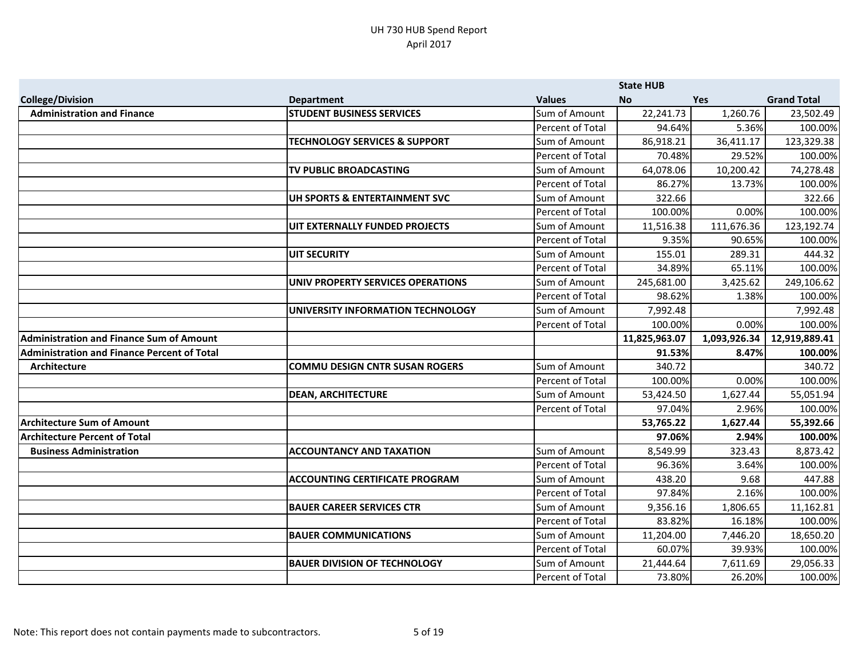|                                                    |                                          |                                   | <b>State HUB</b> |              |                    |
|----------------------------------------------------|------------------------------------------|-----------------------------------|------------------|--------------|--------------------|
| <b>College/Division</b>                            | <b>Department</b>                        | <b>Values</b>                     | <b>No</b>        | <b>Yes</b>   | <b>Grand Total</b> |
| <b>Administration and Finance</b>                  | <b>STUDENT BUSINESS SERVICES</b>         | Sum of Amount                     | 22,241.73        | 1,260.76     | 23,502.49          |
|                                                    |                                          | Percent of Total                  | 94.64%           | 5.36%        | 100.00%            |
|                                                    | <b>TECHNOLOGY SERVICES &amp; SUPPORT</b> | Sum of Amount                     | 86,918.21        | 36,411.17    | 123,329.38         |
|                                                    |                                          | Percent of Total                  | 70.48%           | 29.52%       | 100.00%            |
|                                                    | TV PUBLIC BROADCASTING                   | Sum of Amount                     | 64,078.06        | 10,200.42    | 74,278.48          |
|                                                    |                                          | Percent of Total                  | 86.27%           | 13.73%       | 100.00%            |
|                                                    | UH SPORTS & ENTERTAINMENT SVC            | Sum of Amount                     | 322.66           |              | 322.66             |
|                                                    |                                          | Percent of Total                  | 100.00%          | 0.00%        | 100.00%            |
|                                                    | UIT EXTERNALLY FUNDED PROJECTS           | Sum of Amount                     | 11,516.38        | 111,676.36   | 123,192.74         |
|                                                    |                                          | Percent of Total                  | 9.35%            | 90.65%       | 100.00%            |
|                                                    | <b>UIT SECURITY</b>                      | Sum of Amount                     | 155.01           | 289.31       | 444.32             |
|                                                    |                                          | Percent of Total                  | 34.89%           | 65.11%       | 100.00%            |
|                                                    | UNIV PROPERTY SERVICES OPERATIONS        | Sum of Amount                     | 245,681.00       | 3,425.62     | 249,106.62         |
|                                                    |                                          | Percent of Total                  | 98.62%           | 1.38%        | 100.00%            |
|                                                    | UNIVERSITY INFORMATION TECHNOLOGY        | Sum of Amount                     | 7,992.48         |              | 7,992.48           |
|                                                    |                                          | Percent of Total                  | 100.00%          | 0.00%        | 100.00%            |
|                                                    |                                          |                                   |                  |              |                    |
| <b>Administration and Finance Sum of Amount</b>    |                                          |                                   | 11,825,963.07    | 1,093,926.34 | 12,919,889.41      |
| <b>Administration and Finance Percent of Total</b> |                                          |                                   | 91.53%           | 8.47%        | 100.00%            |
| Architecture                                       | <b>COMMU DESIGN CNTR SUSAN ROGERS</b>    | Sum of Amount                     | 340.72           |              | 340.72             |
|                                                    |                                          | Percent of Total                  | 100.00%          | 0.00%        | 100.00%            |
|                                                    | <b>DEAN, ARCHITECTURE</b>                | Sum of Amount                     | 53,424.50        | 1,627.44     | 55,051.94          |
|                                                    |                                          | Percent of Total                  | 97.04%           | 2.96%        | 100.00%            |
| <b>Architecture Sum of Amount</b>                  |                                          |                                   | 53,765.22        | 1,627.44     | 55,392.66          |
| <b>Architecture Percent of Total</b>               |                                          |                                   | 97.06%           | 2.94%        | 100.00%            |
| <b>Business Administration</b>                     | <b>ACCOUNTANCY AND TAXATION</b>          | Sum of Amount                     | 8,549.99         | 323.43       | 8,873.42           |
|                                                    |                                          | Percent of Total                  | 96.36%           | 3.64%        | 100.00%            |
|                                                    | <b>ACCOUNTING CERTIFICATE PROGRAM</b>    | Sum of Amount                     | 438.20           | 9.68         | 447.88             |
|                                                    |                                          | Percent of Total                  | 97.84%           | 2.16%        | 100.00%            |
|                                                    | <b>BAUER CAREER SERVICES CTR</b>         | Sum of Amount                     | 9,356.16         | 1,806.65     | 11,162.81          |
|                                                    |                                          | Percent of Total                  | 83.82%           | 16.18%       | 100.00%            |
|                                                    | <b>BAUER COMMUNICATIONS</b>              | Sum of Amount                     | 11,204.00        | 7,446.20     | 18,650.20          |
|                                                    |                                          | Percent of Total                  | 60.07%           | 39.93%       | 100.00%            |
|                                                    | <b>BAUER DIVISION OF TECHNOLOGY</b>      | Sum of Amount<br>Percent of Total | 21,444.64        | 7,611.69     | 29,056.33          |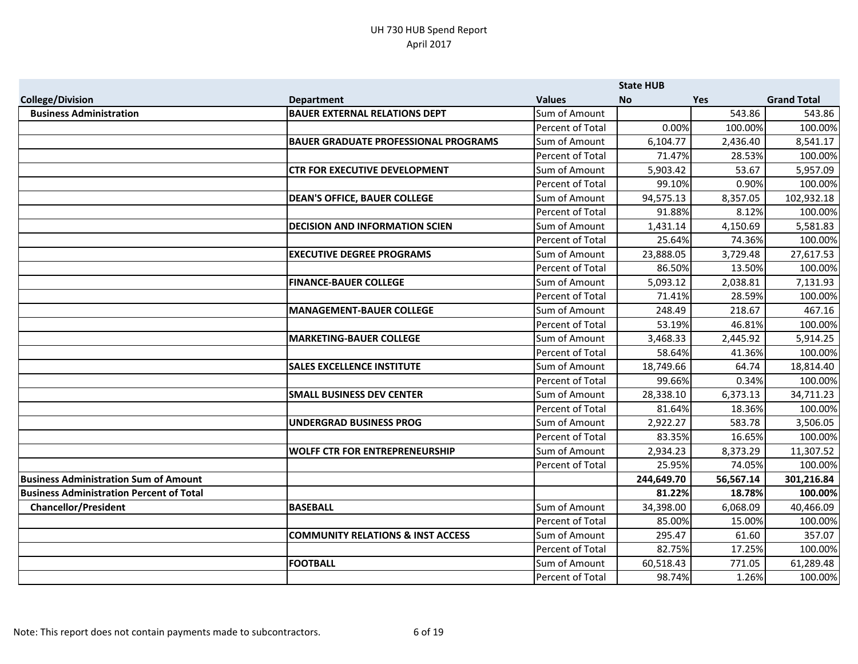|                                                 |                                              |                  | <b>State HUB</b> |           |                    |
|-------------------------------------------------|----------------------------------------------|------------------|------------------|-----------|--------------------|
| <b>College/Division</b>                         | <b>Department</b>                            | <b>Values</b>    | <b>No</b>        | Yes       | <b>Grand Total</b> |
| <b>Business Administration</b>                  | <b>BAUER EXTERNAL RELATIONS DEPT</b>         | Sum of Amount    |                  | 543.86    | 543.86             |
|                                                 |                                              | Percent of Total | 0.00%            | 100.00%   | 100.00%            |
|                                                 | <b>BAUER GRADUATE PROFESSIONAL PROGRAMS</b>  | Sum of Amount    | 6,104.77         | 2,436.40  | 8,541.17           |
|                                                 |                                              | Percent of Total | 71.47%           | 28.53%    | 100.00%            |
|                                                 | <b>CTR FOR EXECUTIVE DEVELOPMENT</b>         | Sum of Amount    | 5,903.42         | 53.67     | 5,957.09           |
|                                                 |                                              | Percent of Total | 99.10%           | 0.90%     | 100.00%            |
|                                                 | <b>DEAN'S OFFICE, BAUER COLLEGE</b>          | Sum of Amount    | 94,575.13        | 8,357.05  | 102,932.18         |
|                                                 |                                              | Percent of Total | 91.88%           | 8.12%     | 100.00%            |
|                                                 | <b>DECISION AND INFORMATION SCIEN</b>        | Sum of Amount    | 1,431.14         | 4,150.69  | 5,581.83           |
|                                                 |                                              | Percent of Total | 25.64%           | 74.36%    | 100.00%            |
|                                                 | <b>EXECUTIVE DEGREE PROGRAMS</b>             | Sum of Amount    | 23,888.05        | 3,729.48  | 27,617.53          |
|                                                 |                                              | Percent of Total | 86.50%           | 13.50%    | 100.00%            |
|                                                 | <b>FINANCE-BAUER COLLEGE</b>                 | Sum of Amount    | 5,093.12         | 2,038.81  | 7,131.93           |
|                                                 |                                              | Percent of Total | 71.41%           | 28.59%    | 100.00%            |
|                                                 | MANAGEMENT-BAUER COLLEGE                     | Sum of Amount    | 248.49           | 218.67    | 467.16             |
|                                                 |                                              | Percent of Total | 53.19%           | 46.81%    | 100.00%            |
|                                                 | <b>MARKETING-BAUER COLLEGE</b>               | Sum of Amount    | 3,468.33         | 2,445.92  | 5,914.25           |
|                                                 |                                              | Percent of Total | 58.64%           | 41.36%    | 100.00%            |
|                                                 | <b>SALES EXCELLENCE INSTITUTE</b>            | Sum of Amount    | 18,749.66        | 64.74     | 18,814.40          |
|                                                 |                                              | Percent of Total | 99.66%           | 0.34%     | 100.00%            |
|                                                 | <b>SMALL BUSINESS DEV CENTER</b>             | Sum of Amount    | 28,338.10        | 6,373.13  | 34,711.23          |
|                                                 |                                              | Percent of Total | 81.64%           | 18.36%    | 100.00%            |
|                                                 | UNDERGRAD BUSINESS PROG                      | Sum of Amount    | 2,922.27         | 583.78    | 3,506.05           |
|                                                 |                                              | Percent of Total | 83.35%           | 16.65%    | 100.00%            |
|                                                 | <b>WOLFF CTR FOR ENTREPRENEURSHIP</b>        | Sum of Amount    | 2,934.23         | 8,373.29  | 11,307.52          |
|                                                 |                                              | Percent of Total | 25.95%           | 74.05%    | 100.00%            |
| <b>Business Administration Sum of Amount</b>    |                                              |                  | 244,649.70       | 56,567.14 | 301,216.84         |
| <b>Business Administration Percent of Total</b> |                                              |                  | 81.22%           | 18.78%    | 100.00%            |
| <b>Chancellor/President</b>                     | <b>BASEBALL</b>                              | Sum of Amount    | 34,398.00        | 6,068.09  | 40,466.09          |
|                                                 |                                              | Percent of Total | 85.00%           | 15.00%    | 100.00%            |
|                                                 | <b>COMMUNITY RELATIONS &amp; INST ACCESS</b> | Sum of Amount    | 295.47           | 61.60     | 357.07             |
|                                                 |                                              | Percent of Total | 82.75%           | 17.25%    | 100.00%            |
|                                                 | <b>FOOTBALL</b>                              | Sum of Amount    | 60,518.43        | 771.05    | 61,289.48          |
|                                                 |                                              | Percent of Total | 98.74%           | 1.26%     | 100.00%            |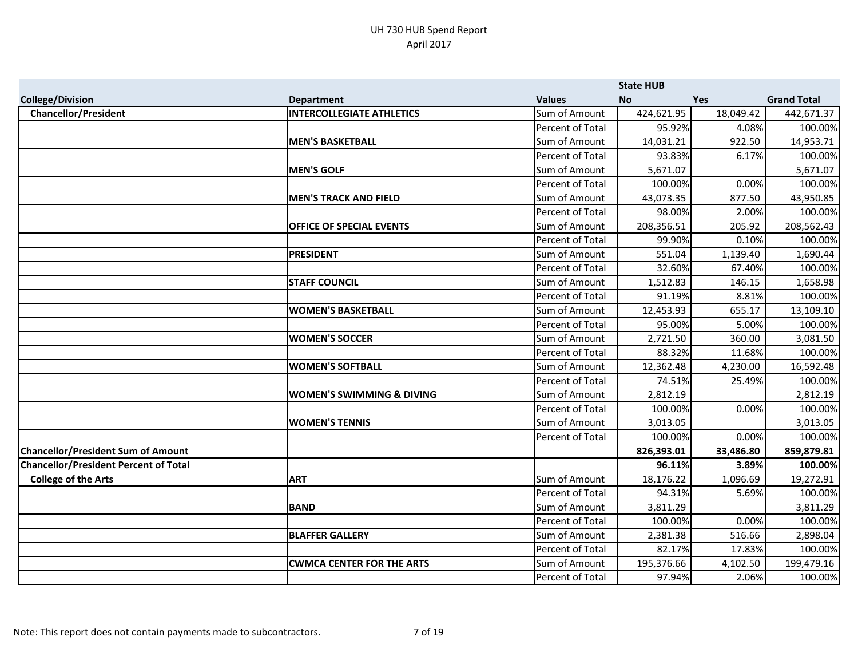|                                              |                                      |                  | <b>State HUB</b> |           |                    |
|----------------------------------------------|--------------------------------------|------------------|------------------|-----------|--------------------|
| <b>College/Division</b>                      | <b>Department</b>                    | <b>Values</b>    | <b>No</b>        | Yes       | <b>Grand Total</b> |
| <b>Chancellor/President</b>                  | <b>INTERCOLLEGIATE ATHLETICS</b>     | Sum of Amount    | 424,621.95       | 18,049.42 | 442,671.37         |
|                                              |                                      | Percent of Total | 95.92%           | 4.08%     | 100.00%            |
|                                              | <b>MEN'S BASKETBALL</b>              | Sum of Amount    | 14,031.21        | 922.50    | 14,953.71          |
|                                              |                                      | Percent of Total | 93.83%           | 6.17%     | 100.00%            |
|                                              | <b>MEN'S GOLF</b>                    | Sum of Amount    | 5,671.07         |           | 5,671.07           |
|                                              |                                      | Percent of Total | 100.00%          | 0.00%     | 100.00%            |
|                                              | <b>MEN'S TRACK AND FIELD</b>         | Sum of Amount    | 43,073.35        | 877.50    | 43,950.85          |
|                                              |                                      | Percent of Total | 98.00%           | 2.00%     | 100.00%            |
|                                              | <b>OFFICE OF SPECIAL EVENTS</b>      | Sum of Amount    | 208,356.51       | 205.92    | 208,562.43         |
|                                              |                                      | Percent of Total | 99.90%           | 0.10%     | 100.00%            |
|                                              | <b>PRESIDENT</b>                     | Sum of Amount    | 551.04           | 1,139.40  | 1,690.44           |
|                                              |                                      | Percent of Total | 32.60%           | 67.40%    | 100.00%            |
|                                              | <b>STAFF COUNCIL</b>                 | Sum of Amount    | 1,512.83         | 146.15    | 1,658.98           |
|                                              |                                      | Percent of Total | 91.19%           | 8.81%     | 100.00%            |
|                                              | <b>WOMEN'S BASKETBALL</b>            | Sum of Amount    | 12,453.93        | 655.17    | 13,109.10          |
|                                              |                                      | Percent of Total | 95.00%           | 5.00%     | 100.00%            |
|                                              | <b>WOMEN'S SOCCER</b>                | Sum of Amount    | 2,721.50         | 360.00    | 3,081.50           |
|                                              |                                      | Percent of Total | 88.32%           | 11.68%    | 100.00%            |
|                                              | <b>WOMEN'S SOFTBALL</b>              | Sum of Amount    | 12,362.48        | 4,230.00  | 16,592.48          |
|                                              |                                      | Percent of Total | 74.51%           | 25.49%    | 100.00%            |
|                                              | <b>WOMEN'S SWIMMING &amp; DIVING</b> | Sum of Amount    | 2,812.19         |           | 2,812.19           |
|                                              |                                      | Percent of Total | 100.00%          | 0.00%     | 100.00%            |
|                                              | <b>WOMEN'S TENNIS</b>                | Sum of Amount    | 3,013.05         |           | 3,013.05           |
|                                              |                                      | Percent of Total | 100.00%          | 0.00%     | 100.00%            |
| <b>Chancellor/President Sum of Amount</b>    |                                      |                  | 826,393.01       | 33,486.80 | 859,879.81         |
| <b>Chancellor/President Percent of Total</b> |                                      |                  | 96.11%           | 3.89%     | 100.00%            |
| <b>College of the Arts</b>                   | <b>ART</b>                           | Sum of Amount    | 18,176.22        | 1,096.69  | 19,272.91          |
|                                              |                                      | Percent of Total | 94.31%           | 5.69%     | 100.00%            |
|                                              | <b>BAND</b>                          | Sum of Amount    | 3,811.29         |           | 3,811.29           |
|                                              |                                      | Percent of Total | 100.00%          | 0.00%     | 100.00%            |
|                                              | <b>BLAFFER GALLERY</b>               | Sum of Amount    | 2,381.38         | 516.66    | 2,898.04           |
|                                              |                                      | Percent of Total | 82.17%           | 17.83%    | 100.00%            |
|                                              | <b>CWMCA CENTER FOR THE ARTS</b>     | Sum of Amount    | 195,376.66       | 4,102.50  | 199,479.16         |
|                                              |                                      | Percent of Total | 97.94%           | 2.06%     | 100.00%            |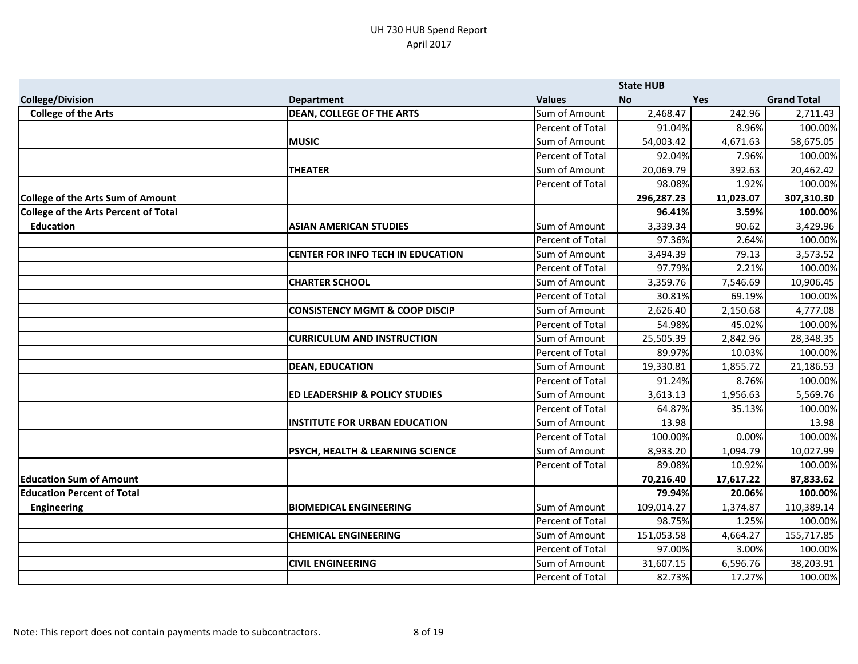|                                             |                                             |                         | <b>State HUB</b> |           |                    |
|---------------------------------------------|---------------------------------------------|-------------------------|------------------|-----------|--------------------|
| <b>College/Division</b>                     | <b>Department</b>                           | <b>Values</b>           | <b>No</b>        | Yes       | <b>Grand Total</b> |
| <b>College of the Arts</b>                  | <b>DEAN, COLLEGE OF THE ARTS</b>            | Sum of Amount           | 2,468.47         | 242.96    | 2,711.43           |
|                                             |                                             | Percent of Total        | 91.04%           | 8.96%     | 100.00%            |
|                                             | <b>IMUSIC</b>                               | Sum of Amount           | 54,003.42        | 4,671.63  | 58,675.05          |
|                                             |                                             | Percent of Total        | 92.04%           | 7.96%     | 100.00%            |
|                                             | <b>THEATER</b>                              | Sum of Amount           | 20,069.79        | 392.63    | 20,462.42          |
|                                             |                                             | Percent of Total        | 98.08%           | 1.92%     | 100.00%            |
| <b>College of the Arts Sum of Amount</b>    |                                             |                         | 296,287.23       | 11,023.07 | 307,310.30         |
| <b>College of the Arts Percent of Total</b> |                                             |                         | 96.41%           | 3.59%     | 100.00%            |
| <b>Education</b>                            | <b>ASIAN AMERICAN STUDIES</b>               | Sum of Amount           | 3,339.34         | 90.62     | 3,429.96           |
|                                             |                                             | <b>Percent of Total</b> | 97.36%           | 2.64%     | 100.00%            |
|                                             | <b>CENTER FOR INFO TECH IN EDUCATION</b>    | Sum of Amount           | 3,494.39         | 79.13     | 3,573.52           |
|                                             |                                             | Percent of Total        | 97.79%           | 2.21%     | 100.00%            |
|                                             | <b>CHARTER SCHOOL</b>                       | Sum of Amount           | 3,359.76         | 7,546.69  | 10,906.45          |
|                                             |                                             | Percent of Total        | 30.81%           | 69.19%    | 100.00%            |
|                                             | <b>CONSISTENCY MGMT &amp; COOP DISCIP</b>   | Sum of Amount           | 2,626.40         | 2,150.68  | 4,777.08           |
|                                             |                                             | Percent of Total        | 54.98%           | 45.02%    | 100.00%            |
|                                             | <b>CURRICULUM AND INSTRUCTION</b>           | Sum of Amount           | 25,505.39        | 2,842.96  | 28,348.35          |
|                                             |                                             | Percent of Total        | 89.97%           | 10.03%    | 100.00%            |
|                                             | <b>DEAN, EDUCATION</b>                      | Sum of Amount           | 19,330.81        | 1,855.72  | 21,186.53          |
|                                             |                                             | Percent of Total        | 91.24%           | 8.76%     | 100.00%            |
|                                             | <b>ED LEADERSHIP &amp; POLICY STUDIES</b>   | Sum of Amount           | 3,613.13         | 1,956.63  | 5,569.76           |
|                                             |                                             | Percent of Total        | 64.87%           | 35.13%    | 100.00%            |
|                                             | <b>INSTITUTE FOR URBAN EDUCATION</b>        | Sum of Amount           | 13.98            |           | 13.98              |
|                                             |                                             | Percent of Total        | 100.00%          | 0.00%     | 100.00%            |
|                                             | <b>PSYCH, HEALTH &amp; LEARNING SCIENCE</b> | Sum of Amount           | 8,933.20         | 1,094.79  | 10,027.99          |
|                                             |                                             | Percent of Total        | 89.08%           | 10.92%    | 100.00%            |
| <b>Education Sum of Amount</b>              |                                             |                         | 70,216.40        | 17,617.22 | 87,833.62          |
| <b>Education Percent of Total</b>           |                                             |                         | 79.94%           | 20.06%    | 100.00%            |
| <b>Engineering</b>                          | <b>BIOMEDICAL ENGINEERING</b>               | Sum of Amount           | 109,014.27       | 1,374.87  | 110,389.14         |
|                                             |                                             | Percent of Total        | 98.75%           | 1.25%     | 100.00%            |
|                                             | <b>CHEMICAL ENGINEERING</b>                 | Sum of Amount           | 151,053.58       | 4,664.27  | 155,717.85         |
|                                             |                                             | Percent of Total        | 97.00%           | 3.00%     | 100.00%            |
|                                             | <b>CIVIL ENGINEERING</b>                    | Sum of Amount           | 31,607.15        | 6,596.76  | 38,203.91          |
|                                             |                                             | Percent of Total        | 82.73%           | 17.27%    | 100.00%            |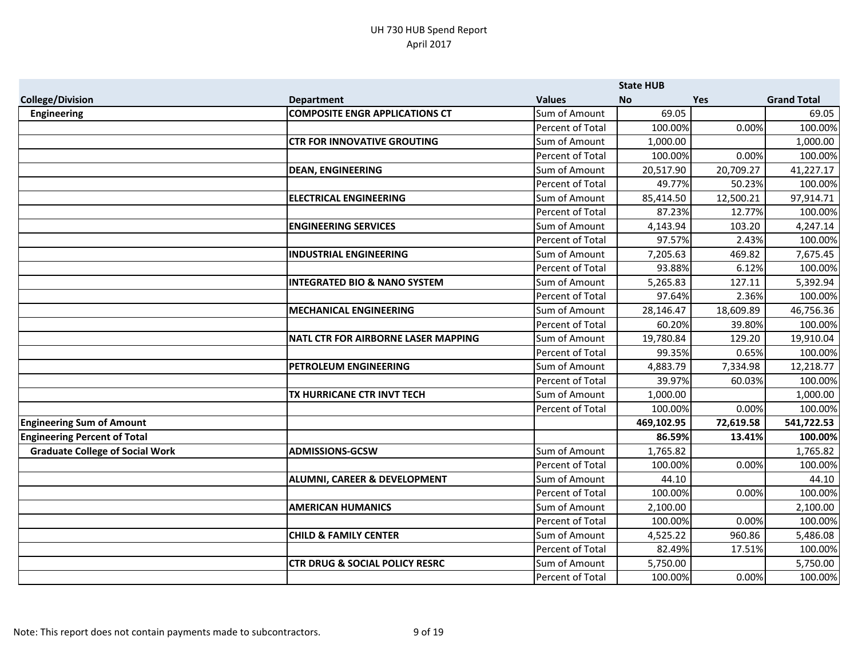|                                        |                                            |                         | <b>State HUB</b> |           |                    |
|----------------------------------------|--------------------------------------------|-------------------------|------------------|-----------|--------------------|
| <b>College/Division</b>                | <b>Department</b>                          | <b>Values</b>           | <b>No</b>        | Yes       | <b>Grand Total</b> |
| <b>Engineering</b>                     | <b>COMPOSITE ENGR APPLICATIONS CT</b>      | Sum of Amount           | 69.05            |           | 69.05              |
|                                        |                                            | Percent of Total        | 100.00%          | 0.00%     | 100.00%            |
|                                        | <b>CTR FOR INNOVATIVE GROUTING</b>         | Sum of Amount           | 1,000.00         |           | 1,000.00           |
|                                        |                                            | Percent of Total        | 100.00%          | 0.00%     | 100.00%            |
|                                        | <b>DEAN, ENGINEERING</b>                   | Sum of Amount           | 20,517.90        | 20,709.27 | 41,227.17          |
|                                        |                                            | <b>Percent of Total</b> | 49.77%           | 50.23%    | 100.00%            |
|                                        | <b>ELECTRICAL ENGINEERING</b>              | Sum of Amount           | 85,414.50        | 12,500.21 | 97,914.71          |
|                                        |                                            | Percent of Total        | 87.23%           | 12.77%    | 100.00%            |
|                                        | <b>ENGINEERING SERVICES</b>                | Sum of Amount           | 4,143.94         | 103.20    | 4,247.14           |
|                                        |                                            | Percent of Total        | 97.57%           | 2.43%     | 100.00%            |
|                                        | <b>INDUSTRIAL ENGINEERING</b>              | Sum of Amount           | 7,205.63         | 469.82    | 7,675.45           |
|                                        |                                            | Percent of Total        | 93.88%           | 6.12%     | 100.00%            |
|                                        | <b>INTEGRATED BIO &amp; NANO SYSTEM</b>    | Sum of Amount           | 5,265.83         | 127.11    | 5,392.94           |
|                                        |                                            | Percent of Total        | 97.64%           | 2.36%     | 100.00%            |
|                                        | <b>MECHANICAL ENGINEERING</b>              | Sum of Amount           | 28,146.47        | 18,609.89 | 46,756.36          |
|                                        |                                            | Percent of Total        | 60.20%           | 39.80%    | 100.00%            |
|                                        | <b>NATL CTR FOR AIRBORNE LASER MAPPING</b> | Sum of Amount           | 19,780.84        | 129.20    | 19,910.04          |
|                                        |                                            | Percent of Total        | 99.35%           | 0.65%     | 100.00%            |
|                                        | PETROLEUM ENGINEERING                      | Sum of Amount           | 4,883.79         | 7,334.98  | 12,218.77          |
|                                        |                                            | Percent of Total        | 39.97%           | 60.03%    | 100.00%            |
|                                        | TX HURRICANE CTR INVT TECH                 | Sum of Amount           | 1,000.00         |           | 1,000.00           |
|                                        |                                            | Percent of Total        | 100.00%          | 0.00%     | 100.00%            |
| <b>Engineering Sum of Amount</b>       |                                            |                         | 469,102.95       | 72,619.58 | 541,722.53         |
| <b>Engineering Percent of Total</b>    |                                            |                         | 86.59%           | 13.41%    | 100.00%            |
| <b>Graduate College of Social Work</b> | <b>ADMISSIONS-GCSW</b>                     | Sum of Amount           | 1,765.82         |           | 1,765.82           |
|                                        |                                            | Percent of Total        | 100.00%          | 0.00%     | 100.00%            |
|                                        | <b>ALUMNI, CAREER &amp; DEVELOPMENT</b>    | Sum of Amount           | 44.10            |           | 44.10              |
|                                        |                                            | Percent of Total        | 100.00%          | 0.00%     | 100.00%            |
|                                        | <b>AMERICAN HUMANICS</b>                   | Sum of Amount           | 2,100.00         |           | 2,100.00           |
|                                        |                                            | Percent of Total        | 100.00%          | 0.00%     | 100.00%            |
|                                        | <b>CHILD &amp; FAMILY CENTER</b>           | Sum of Amount           | 4,525.22         | 960.86    | 5,486.08           |
|                                        |                                            | Percent of Total        | 82.49%           | 17.51%    | 100.00%            |
|                                        | <b>CTR DRUG &amp; SOCIAL POLICY RESRC</b>  | Sum of Amount           | 5,750.00         |           | 5,750.00           |
|                                        |                                            | Percent of Total        | 100.00%          | 0.00%     | 100.00%            |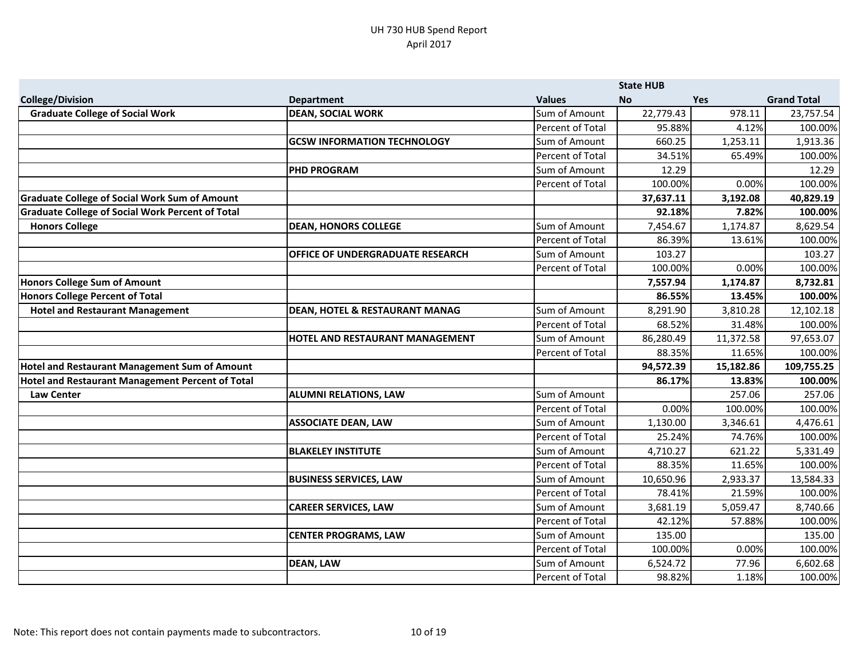|                                                         |                                           |                  | <b>State HUB</b> |            |                    |
|---------------------------------------------------------|-------------------------------------------|------------------|------------------|------------|--------------------|
| <b>College/Division</b>                                 | <b>Department</b>                         | <b>Values</b>    | <b>No</b>        | <b>Yes</b> | <b>Grand Total</b> |
| <b>Graduate College of Social Work</b>                  | <b>DEAN, SOCIAL WORK</b>                  | Sum of Amount    | 22,779.43        | 978.11     | 23,757.54          |
|                                                         |                                           | Percent of Total | 95.88%           | 4.12%      | 100.00%            |
|                                                         | <b>GCSW INFORMATION TECHNOLOGY</b>        | Sum of Amount    | 660.25           | 1,253.11   | 1,913.36           |
|                                                         |                                           | Percent of Total | 34.51%           | 65.49%     | 100.00%            |
|                                                         | <b>PHD PROGRAM</b>                        | Sum of Amount    | 12.29            |            | 12.29              |
|                                                         |                                           | Percent of Total | 100.00%          | 0.00%      | 100.00%            |
| <b>Graduate College of Social Work Sum of Amount</b>    |                                           |                  | 37,637.11        | 3,192.08   | 40,829.19          |
| <b>Graduate College of Social Work Percent of Total</b> |                                           |                  | 92.18%           | 7.82%      | 100.00%            |
| <b>Honors College</b>                                   | <b>DEAN, HONORS COLLEGE</b>               | Sum of Amount    | 7,454.67         | 1,174.87   | 8,629.54           |
|                                                         |                                           | Percent of Total | 86.39%           | 13.61%     | 100.00%            |
|                                                         | <b>OFFICE OF UNDERGRADUATE RESEARCH</b>   | Sum of Amount    | 103.27           |            | 103.27             |
|                                                         |                                           | Percent of Total | 100.00%          | 0.00%      | 100.00%            |
| Honors College Sum of Amount                            |                                           |                  | 7,557.94         | 1,174.87   | 8,732.81           |
| Honors College Percent of Total                         |                                           |                  | 86.55%           | 13.45%     | 100.00%            |
| <b>Hotel and Restaurant Management</b>                  | <b>DEAN, HOTEL &amp; RESTAURANT MANAG</b> | Sum of Amount    | 8,291.90         | 3,810.28   | 12,102.18          |
|                                                         |                                           | Percent of Total | 68.52%           | 31.48%     | 100.00%            |
|                                                         | <b>HOTEL AND RESTAURANT MANAGEMENT</b>    | Sum of Amount    | 86,280.49        | 11,372.58  | 97,653.07          |
|                                                         |                                           | Percent of Total | 88.35%           | 11.65%     | 100.00%            |
| <b>Hotel and Restaurant Management Sum of Amount</b>    |                                           |                  | 94,572.39        | 15,182.86  | 109,755.25         |
| Hotel and Restaurant Management Percent of Total        |                                           |                  | 86.17%           | 13.83%     | 100.00%            |
| <b>Law Center</b>                                       | <b>ALUMNI RELATIONS, LAW</b>              | Sum of Amount    |                  | 257.06     | 257.06             |
|                                                         |                                           | Percent of Total | 0.00%            | 100.00%    | 100.00%            |
|                                                         | <b>ASSOCIATE DEAN, LAW</b>                | Sum of Amount    | 1,130.00         | 3,346.61   | 4,476.61           |
|                                                         |                                           | Percent of Total | 25.24%           | 74.76%     | 100.00%            |
|                                                         | <b>BLAKELEY INSTITUTE</b>                 | Sum of Amount    | 4,710.27         | 621.22     | 5,331.49           |
|                                                         |                                           | Percent of Total | 88.35%           | 11.65%     | 100.00%            |
|                                                         | <b>BUSINESS SERVICES, LAW</b>             | Sum of Amount    | 10,650.96        | 2,933.37   | 13,584.33          |
|                                                         |                                           | Percent of Total | 78.41%           | 21.59%     | 100.00%            |
|                                                         | <b>CAREER SERVICES, LAW</b>               | Sum of Amount    | 3,681.19         | 5,059.47   | 8,740.66           |
|                                                         |                                           | Percent of Total | 42.12%           | 57.88%     | 100.00%            |
|                                                         | <b>CENTER PROGRAMS, LAW</b>               | Sum of Amount    | 135.00           |            | 135.00             |
|                                                         |                                           | Percent of Total | 100.00%          | 0.00%      | 100.00%            |
|                                                         | <b>DEAN, LAW</b>                          | Sum of Amount    | 6,524.72         | 77.96      | 6,602.68           |
|                                                         |                                           | Percent of Total | 98.82%           | 1.18%      | 100.00%            |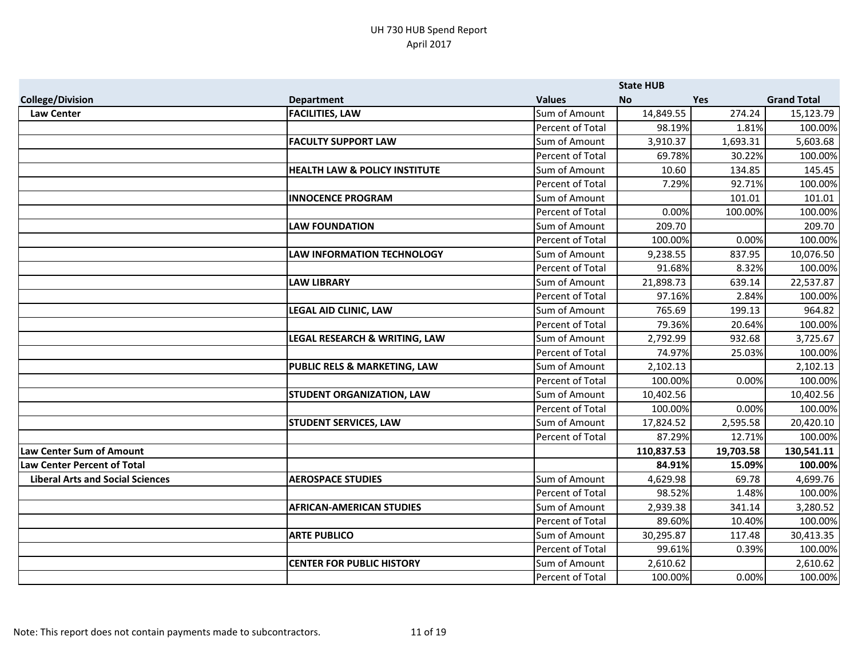|                                         |                                          |                  | <b>State HUB</b> |            |                    |
|-----------------------------------------|------------------------------------------|------------------|------------------|------------|--------------------|
| <b>College/Division</b>                 | <b>Department</b>                        | <b>Values</b>    | <b>No</b>        | <b>Yes</b> | <b>Grand Total</b> |
| <b>Law Center</b>                       | <b>FACILITIES, LAW</b>                   | Sum of Amount    | 14,849.55        | 274.24     | 15,123.79          |
|                                         |                                          | Percent of Total | 98.19%           | 1.81%      | 100.00%            |
|                                         | <b>FACULTY SUPPORT LAW</b>               | Sum of Amount    | 3,910.37         | 1,693.31   | 5,603.68           |
|                                         |                                          | Percent of Total | 69.78%           | 30.22%     | 100.00%            |
|                                         | <b>HEALTH LAW &amp; POLICY INSTITUTE</b> | Sum of Amount    | 10.60            | 134.85     | 145.45             |
|                                         |                                          | Percent of Total | 7.29%            | 92.71%     | 100.00%            |
|                                         | <b>INNOCENCE PROGRAM</b>                 | Sum of Amount    |                  | 101.01     | 101.01             |
|                                         |                                          | Percent of Total | 0.00%            | 100.00%    | 100.00%            |
|                                         | <b>LAW FOUNDATION</b>                    | Sum of Amount    | 209.70           |            | 209.70             |
|                                         |                                          | Percent of Total | 100.00%          | 0.00%      | 100.00%            |
|                                         | <b>LAW INFORMATION TECHNOLOGY</b>        | Sum of Amount    | 9,238.55         | 837.95     | 10,076.50          |
|                                         |                                          | Percent of Total | 91.68%           | 8.32%      | 100.00%            |
|                                         | <b>LAW LIBRARY</b>                       | Sum of Amount    | 21,898.73        | 639.14     | 22,537.87          |
|                                         |                                          | Percent of Total | 97.16%           | 2.84%      | 100.00%            |
|                                         | <b>LEGAL AID CLINIC, LAW</b>             | Sum of Amount    | 765.69           | 199.13     | 964.82             |
|                                         |                                          | Percent of Total | 79.36%           | 20.64%     | 100.00%            |
|                                         | LEGAL RESEARCH & WRITING, LAW            | Sum of Amount    | 2,792.99         | 932.68     | 3,725.67           |
|                                         |                                          | Percent of Total | 74.97%           | 25.03%     | 100.00%            |
|                                         | <b>PUBLIC RELS &amp; MARKETING, LAW</b>  | Sum of Amount    | 2,102.13         |            | 2,102.13           |
|                                         |                                          | Percent of Total | 100.00%          | 0.00%      | 100.00%            |
|                                         | <b>STUDENT ORGANIZATION, LAW</b>         | Sum of Amount    | 10,402.56        |            | 10,402.56          |
|                                         |                                          | Percent of Total | 100.00%          | 0.00%      | 100.00%            |
|                                         | <b>STUDENT SERVICES, LAW</b>             | Sum of Amount    | 17,824.52        | 2,595.58   | 20,420.10          |
|                                         |                                          | Percent of Total | 87.29%           | 12.71%     | 100.00%            |
| <b>Law Center Sum of Amount</b>         |                                          |                  | 110,837.53       | 19,703.58  | 130,541.11         |
| <b>Law Center Percent of Total</b>      |                                          |                  | 84.91%           | 15.09%     | 100.00%            |
| <b>Liberal Arts and Social Sciences</b> | <b>AEROSPACE STUDIES</b>                 | Sum of Amount    | 4,629.98         | 69.78      | 4,699.76           |
|                                         |                                          | Percent of Total | 98.52%           | 1.48%      | 100.00%            |
|                                         | <b>AFRICAN-AMERICAN STUDIES</b>          | Sum of Amount    | 2,939.38         | 341.14     | 3,280.52           |
|                                         |                                          | Percent of Total | 89.60%           | 10.40%     | 100.00%            |
|                                         | <b>ARTE PUBLICO</b>                      | Sum of Amount    | 30,295.87        | 117.48     | 30,413.35          |
|                                         |                                          | Percent of Total | 99.61%           | 0.39%      | 100.00%            |
|                                         | <b>CENTER FOR PUBLIC HISTORY</b>         | Sum of Amount    | 2,610.62         |            | 2,610.62           |
|                                         |                                          | Percent of Total | 100.00%          | 0.00%      | 100.00%            |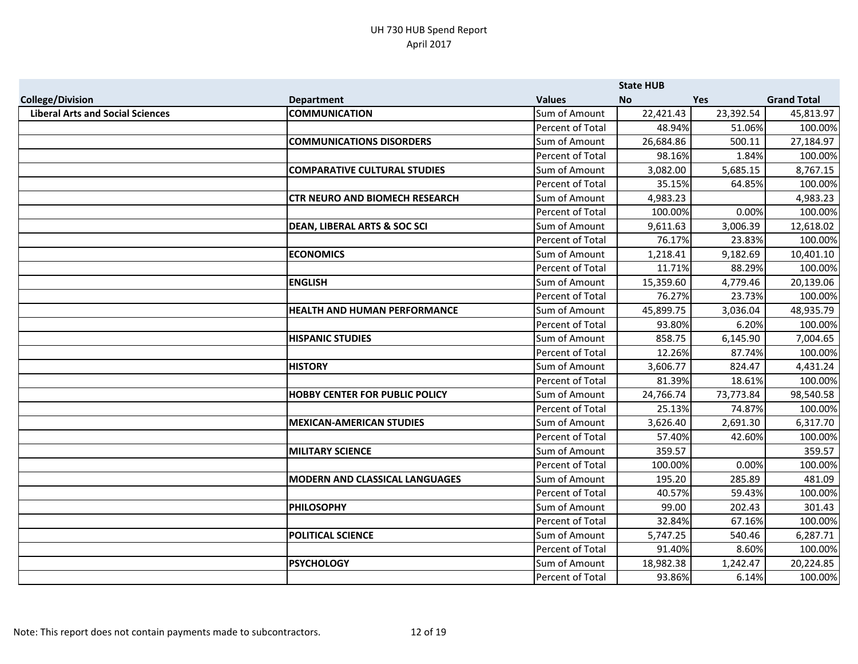|                                         |                                         |                         | <b>State HUB</b> |            |                    |
|-----------------------------------------|-----------------------------------------|-------------------------|------------------|------------|--------------------|
| <b>College/Division</b>                 | <b>Department</b>                       | <b>Values</b>           | <b>No</b>        | <b>Yes</b> | <b>Grand Total</b> |
| <b>Liberal Arts and Social Sciences</b> | <b>COMMUNICATION</b>                    | Sum of Amount           | 22,421.43        | 23,392.54  | 45,813.97          |
|                                         |                                         | Percent of Total        | 48.94%           | 51.06%     | 100.00%            |
|                                         | <b>COMMUNICATIONS DISORDERS</b>         | Sum of Amount           | 26,684.86        | 500.11     | 27,184.97          |
|                                         |                                         | Percent of Total        | 98.16%           | 1.84%      | 100.00%            |
|                                         | <b>COMPARATIVE CULTURAL STUDIES</b>     | Sum of Amount           | 3,082.00         | 5,685.15   | 8,767.15           |
|                                         |                                         | <b>Percent of Total</b> | 35.15%           | 64.85%     | 100.00%            |
|                                         | <b>CTR NEURO AND BIOMECH RESEARCH</b>   | Sum of Amount           | 4,983.23         |            | 4,983.23           |
|                                         |                                         | Percent of Total        | 100.00%          | 0.00%      | 100.00%            |
|                                         | <b>DEAN, LIBERAL ARTS &amp; SOC SCI</b> | Sum of Amount           | 9,611.63         | 3,006.39   | 12,618.02          |
|                                         |                                         | Percent of Total        | 76.17%           | 23.83%     | 100.00%            |
|                                         | <b>ECONOMICS</b>                        | Sum of Amount           | 1,218.41         | 9,182.69   | 10,401.10          |
|                                         |                                         | Percent of Total        | 11.71%           | 88.29%     | 100.00%            |
|                                         | <b>ENGLISH</b>                          | Sum of Amount           | 15,359.60        | 4,779.46   | 20,139.06          |
|                                         |                                         | Percent of Total        | 76.27%           | 23.73%     | 100.00%            |
|                                         | <b>HEALTH AND HUMAN PERFORMANCE</b>     | Sum of Amount           | 45,899.75        | 3,036.04   | 48,935.79          |
|                                         |                                         | Percent of Total        | 93.80%           | 6.20%      | 100.00%            |
|                                         | <b>HISPANIC STUDIES</b>                 | Sum of Amount           | 858.75           | 6,145.90   | 7,004.65           |
|                                         |                                         | Percent of Total        | 12.26%           | 87.74%     | 100.00%            |
|                                         | <b>HISTORY</b>                          | Sum of Amount           | 3,606.77         | 824.47     | 4,431.24           |
|                                         |                                         | Percent of Total        | 81.39%           | 18.61%     | 100.00%            |
|                                         | <b>HOBBY CENTER FOR PUBLIC POLICY</b>   | Sum of Amount           | 24,766.74        | 73,773.84  | 98,540.58          |
|                                         |                                         | Percent of Total        | 25.13%           | 74.87%     | 100.00%            |
|                                         | <b>MEXICAN-AMERICAN STUDIES</b>         | Sum of Amount           | 3,626.40         | 2,691.30   | 6,317.70           |
|                                         |                                         | <b>Percent of Total</b> | 57.40%           | 42.60%     | 100.00%            |
|                                         | <b>MILITARY SCIENCE</b>                 | Sum of Amount           | 359.57           |            | 359.57             |
|                                         |                                         | Percent of Total        | 100.00%          | 0.00%      | 100.00%            |
|                                         | <b>MODERN AND CLASSICAL LANGUAGES</b>   | Sum of Amount           | 195.20           | 285.89     | 481.09             |
|                                         |                                         | Percent of Total        | 40.57%           | 59.43%     | 100.00%            |
|                                         | <b>PHILOSOPHY</b>                       | Sum of Amount           | 99.00            | 202.43     | 301.43             |
|                                         |                                         | Percent of Total        | 32.84%           | 67.16%     | 100.00%            |
|                                         | <b>POLITICAL SCIENCE</b>                | Sum of Amount           | 5,747.25         | 540.46     | 6,287.71           |
|                                         |                                         | Percent of Total        | 91.40%           | 8.60%      | 100.00%            |
|                                         | <b>PSYCHOLOGY</b>                       | Sum of Amount           | 18,982.38        | 1,242.47   | 20,224.85          |
|                                         |                                         | Percent of Total        | 93.86%           | 6.14%      | 100.00%            |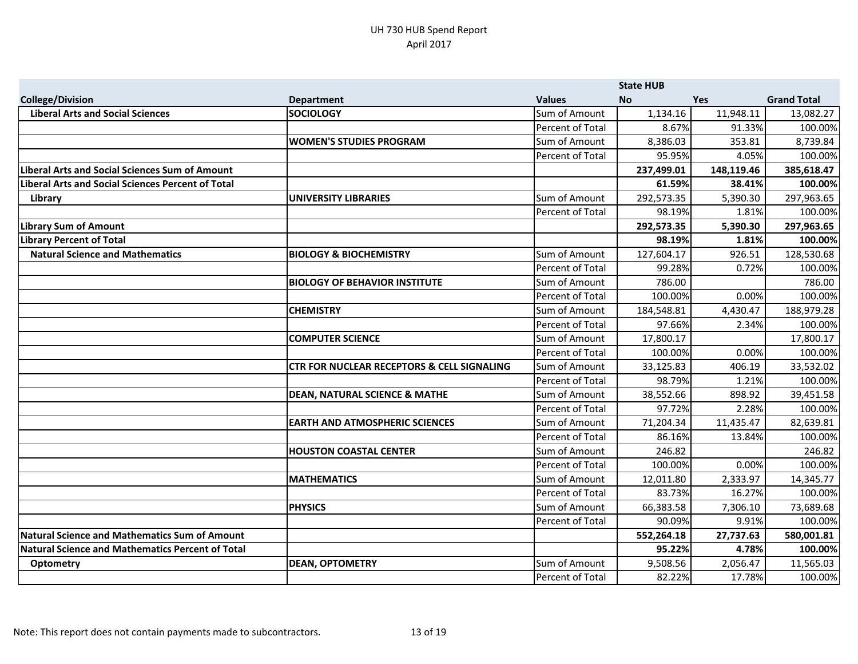|                                                          |                                                       |                         | <b>State HUB</b> |            |                    |
|----------------------------------------------------------|-------------------------------------------------------|-------------------------|------------------|------------|--------------------|
| <b>College/Division</b>                                  | <b>Department</b>                                     | <b>Values</b>           | <b>No</b>        | <b>Yes</b> | <b>Grand Total</b> |
| <b>Liberal Arts and Social Sciences</b>                  | <b>SOCIOLOGY</b>                                      | Sum of Amount           | 1,134.16         | 11,948.11  | 13,082.27          |
|                                                          |                                                       | Percent of Total        | 8.67%            | 91.33%     | 100.00%            |
|                                                          | <b>WOMEN'S STUDIES PROGRAM</b>                        | Sum of Amount           | 8,386.03         | 353.81     | 8,739.84           |
|                                                          |                                                       | Percent of Total        | 95.95%           | 4.05%      | 100.00%            |
| <b>Liberal Arts and Social Sciences Sum of Amount</b>    |                                                       |                         | 237,499.01       | 148,119.46 | 385,618.47         |
| <b>Liberal Arts and Social Sciences Percent of Total</b> |                                                       |                         | 61.59%           | 38.41%     | 100.00%            |
| Library                                                  | UNIVERSITY LIBRARIES                                  | Sum of Amount           | 292,573.35       | 5,390.30   | 297,963.65         |
|                                                          |                                                       | Percent of Total        | 98.19%           | 1.81%      | 100.00%            |
| <b>Library Sum of Amount</b>                             |                                                       |                         | 292,573.35       | 5,390.30   | 297,963.65         |
| <b>Library Percent of Total</b>                          |                                                       |                         | 98.19%           | 1.81%      | 100.00%            |
| <b>Natural Science and Mathematics</b>                   | <b>BIOLOGY &amp; BIOCHEMISTRY</b>                     | Sum of Amount           | 127,604.17       | 926.51     | 128,530.68         |
|                                                          |                                                       | Percent of Total        | 99.28%           | 0.72%      | 100.00%            |
|                                                          | <b>BIOLOGY OF BEHAVIOR INSTITUTE</b>                  | Sum of Amount           | 786.00           |            | 786.00             |
|                                                          |                                                       | Percent of Total        | 100.00%          | 0.00%      | 100.00%            |
|                                                          | <b>CHEMISTRY</b>                                      | Sum of Amount           | 184,548.81       | 4,430.47   | 188,979.28         |
|                                                          |                                                       | Percent of Total        | 97.66%           | 2.34%      | 100.00%            |
|                                                          | <b>COMPUTER SCIENCE</b>                               | Sum of Amount           | 17,800.17        |            | 17,800.17          |
|                                                          |                                                       | Percent of Total        | 100.00%          | 0.00%      | 100.00%            |
|                                                          | <b>CTR FOR NUCLEAR RECEPTORS &amp; CELL SIGNALING</b> | Sum of Amount           | 33,125.83        | 406.19     | 33,532.02          |
|                                                          |                                                       | Percent of Total        | 98.79%           | 1.21%      | 100.00%            |
|                                                          | <b>DEAN, NATURAL SCIENCE &amp; MATHE</b>              | Sum of Amount           | 38,552.66        | 898.92     | 39,451.58          |
|                                                          |                                                       | <b>Percent of Total</b> | 97.72%           | 2.28%      | 100.00%            |
|                                                          | <b>EARTH AND ATMOSPHERIC SCIENCES</b>                 | Sum of Amount           | 71,204.34        | 11,435.47  | 82,639.81          |
|                                                          |                                                       | Percent of Total        | 86.16%           | 13.84%     | 100.00%            |
|                                                          | <b>HOUSTON COASTAL CENTER</b>                         | Sum of Amount           | 246.82           |            | 246.82             |
|                                                          |                                                       | Percent of Total        | 100.00%          | 0.00%      | 100.00%            |
|                                                          | <b>MATHEMATICS</b>                                    | Sum of Amount           | 12,011.80        | 2,333.97   | 14,345.77          |
|                                                          |                                                       | Percent of Total        | 83.73%           | 16.27%     | 100.00%            |
|                                                          | <b>PHYSICS</b>                                        | Sum of Amount           | 66,383.58        | 7,306.10   | 73,689.68          |
|                                                          |                                                       | Percent of Total        | 90.09%           | 9.91%      | 100.00%            |
| <b>Natural Science and Mathematics Sum of Amount</b>     |                                                       |                         | 552,264.18       | 27,737.63  | 580,001.81         |
| Natural Science and Mathematics Percent of Total         |                                                       |                         | 95.22%           | 4.78%      | 100.00%            |
| <b>Optometry</b>                                         | <b>DEAN, OPTOMETRY</b>                                | Sum of Amount           | 9,508.56         | 2,056.47   | 11,565.03          |
|                                                          |                                                       | Percent of Total        | 82.22%           | 17.78%     | 100.00%            |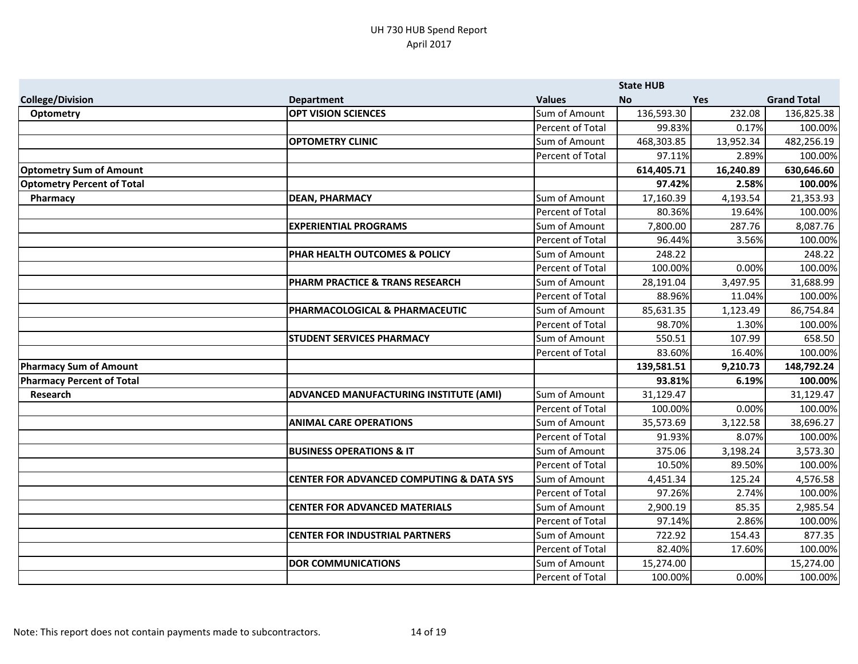|                                   |                                                     |                  | <b>State HUB</b> |            |                    |
|-----------------------------------|-----------------------------------------------------|------------------|------------------|------------|--------------------|
| <b>College/Division</b>           | <b>Department</b>                                   | <b>Values</b>    | <b>No</b>        | <b>Yes</b> | <b>Grand Total</b> |
| Optometry                         | <b>OPT VISION SCIENCES</b>                          | Sum of Amount    | 136,593.30       | 232.08     | 136,825.38         |
|                                   |                                                     | Percent of Total | 99.83%           | 0.17%      | 100.00%            |
|                                   | <b>OPTOMETRY CLINIC</b>                             | Sum of Amount    | 468,303.85       | 13,952.34  | 482,256.19         |
|                                   |                                                     | Percent of Total | 97.11%           | 2.89%      | 100.00%            |
| <b>Optometry Sum of Amount</b>    |                                                     |                  | 614,405.71       | 16,240.89  | 630,646.60         |
| <b>Optometry Percent of Total</b> |                                                     |                  | 97.42%           | 2.58%      | 100.00%            |
| Pharmacy                          | <b>DEAN, PHARMACY</b>                               | Sum of Amount    | 17,160.39        | 4,193.54   | 21,353.93          |
|                                   |                                                     | Percent of Total | 80.36%           | 19.64%     | 100.00%            |
|                                   | <b>EXPERIENTIAL PROGRAMS</b>                        | Sum of Amount    | 7,800.00         | 287.76     | 8,087.76           |
|                                   |                                                     | Percent of Total | 96.44%           | 3.56%      | 100.00%            |
|                                   | <b>PHAR HEALTH OUTCOMES &amp; POLICY</b>            | Sum of Amount    | 248.22           |            | 248.22             |
|                                   |                                                     | Percent of Total | 100.00%          | 0.00%      | 100.00%            |
|                                   | <b>PHARM PRACTICE &amp; TRANS RESEARCH</b>          | Sum of Amount    | 28,191.04        | 3,497.95   | 31,688.99          |
|                                   |                                                     | Percent of Total | 88.96%           | 11.04%     | 100.00%            |
|                                   | PHARMACOLOGICAL & PHARMACEUTIC                      | Sum of Amount    | 85,631.35        | 1,123.49   | 86,754.84          |
|                                   |                                                     | Percent of Total | 98.70%           | 1.30%      | 100.00%            |
|                                   | <b>STUDENT SERVICES PHARMACY</b>                    | Sum of Amount    | 550.51           | 107.99     | 658.50             |
|                                   |                                                     | Percent of Total | 83.60%           | 16.40%     | 100.00%            |
| <b>Pharmacy Sum of Amount</b>     |                                                     |                  | 139,581.51       | 9,210.73   | 148,792.24         |
| <b>Pharmacy Percent of Total</b>  |                                                     |                  | 93.81%           | 6.19%      | 100.00%            |
| <b>Research</b>                   | <b>ADVANCED MANUFACTURING INSTITUTE (AMI)</b>       | Sum of Amount    | 31,129.47        |            | 31,129.47          |
|                                   |                                                     | Percent of Total | 100.00%          | 0.00%      | 100.00%            |
|                                   | <b>ANIMAL CARE OPERATIONS</b>                       | Sum of Amount    | 35,573.69        | 3,122.58   | 38,696.27          |
|                                   |                                                     | Percent of Total | 91.93%           | 8.07%      | 100.00%            |
|                                   | <b>BUSINESS OPERATIONS &amp; IT</b>                 | Sum of Amount    | 375.06           | 3,198.24   | 3,573.30           |
|                                   |                                                     | Percent of Total | 10.50%           | 89.50%     | 100.00%            |
|                                   | <b>CENTER FOR ADVANCED COMPUTING &amp; DATA SYS</b> | Sum of Amount    | 4,451.34         | 125.24     | 4,576.58           |
|                                   |                                                     | Percent of Total | 97.26%           | 2.74%      | 100.00%            |
|                                   | <b>CENTER FOR ADVANCED MATERIALS</b>                | Sum of Amount    | 2,900.19         | 85.35      | 2,985.54           |
|                                   |                                                     | Percent of Total | 97.14%           | 2.86%      | 100.00%            |
|                                   | <b>CENTER FOR INDUSTRIAL PARTNERS</b>               | Sum of Amount    | 722.92           | 154.43     | 877.35             |
|                                   |                                                     | Percent of Total | 82.40%           | 17.60%     | 100.00%            |
|                                   | <b>DOR COMMUNICATIONS</b>                           | Sum of Amount    | 15,274.00        |            | 15,274.00          |
|                                   |                                                     | Percent of Total | 100.00%          | 0.00%      | 100.00%            |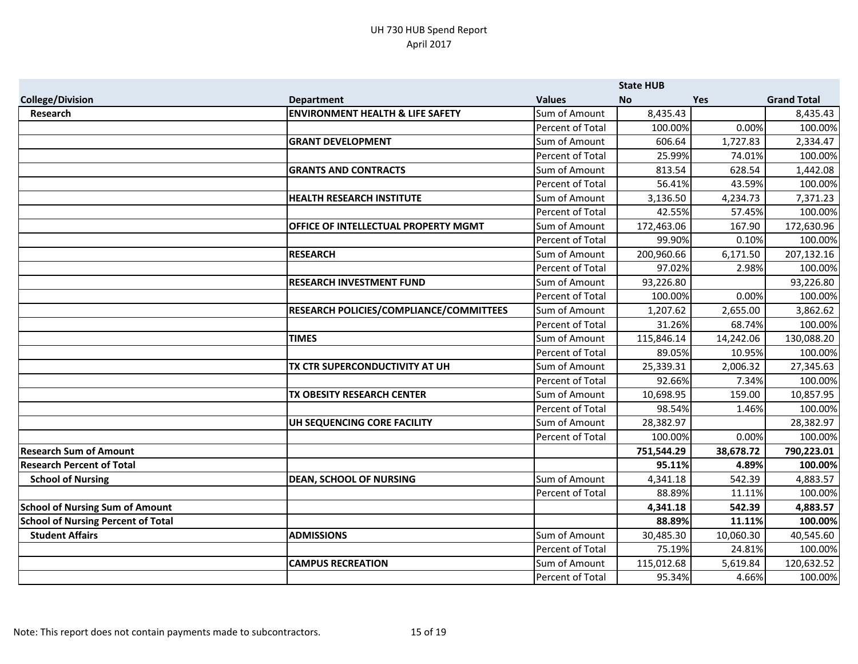|                                           |                                                |                  | <b>State HUB</b> |           |                    |
|-------------------------------------------|------------------------------------------------|------------------|------------------|-----------|--------------------|
| <b>College/Division</b>                   | <b>Department</b>                              | <b>Values</b>    | <b>No</b>        | Yes       | <b>Grand Total</b> |
| Research                                  | <b>ENVIRONMENT HEALTH &amp; LIFE SAFETY</b>    | Sum of Amount    | 8,435.43         |           | 8,435.43           |
|                                           |                                                | Percent of Total | 100.00%          | 0.00%     | 100.00%            |
|                                           | <b>GRANT DEVELOPMENT</b>                       | Sum of Amount    | 606.64           | 1,727.83  | 2,334.47           |
|                                           |                                                | Percent of Total | 25.99%           | 74.01%    | 100.00%            |
|                                           | <b>GRANTS AND CONTRACTS</b>                    | Sum of Amount    | 813.54           | 628.54    | 1,442.08           |
|                                           |                                                | Percent of Total | 56.41%           | 43.59%    | 100.00%            |
|                                           | <b>HEALTH RESEARCH INSTITUTE</b>               | Sum of Amount    | 3,136.50         | 4,234.73  | 7,371.23           |
|                                           |                                                | Percent of Total | 42.55%           | 57.45%    | 100.00%            |
|                                           | <b>OFFICE OF INTELLECTUAL PROPERTY MGMT</b>    | Sum of Amount    | 172,463.06       | 167.90    | 172,630.96         |
|                                           |                                                | Percent of Total | 99.90%           | 0.10%     | 100.00%            |
|                                           | <b>RESEARCH</b>                                | Sum of Amount    | 200,960.66       | 6,171.50  | 207,132.16         |
|                                           |                                                | Percent of Total | 97.02%           | 2.98%     | 100.00%            |
|                                           | <b>RESEARCH INVESTMENT FUND</b>                | Sum of Amount    | 93,226.80        |           | 93,226.80          |
|                                           |                                                | Percent of Total | 100.00%          | 0.00%     | 100.00%            |
|                                           | <b>RESEARCH POLICIES/COMPLIANCE/COMMITTEES</b> | Sum of Amount    | 1,207.62         | 2,655.00  | 3,862.62           |
|                                           |                                                | Percent of Total | 31.26%           | 68.74%    | 100.00%            |
|                                           | <b>TIMES</b>                                   | Sum of Amount    | 115,846.14       | 14,242.06 | 130,088.20         |
|                                           |                                                | Percent of Total | 89.05%           | 10.95%    | 100.00%            |
|                                           | TX CTR SUPERCONDUCTIVITY AT UH                 | Sum of Amount    | 25,339.31        | 2,006.32  | 27,345.63          |
|                                           |                                                | Percent of Total | 92.66%           | 7.34%     | 100.00%            |
|                                           | <b>TX OBESITY RESEARCH CENTER</b>              | Sum of Amount    | 10,698.95        | 159.00    | 10,857.95          |
|                                           |                                                | Percent of Total | 98.54%           | 1.46%     | 100.00%            |
|                                           | UH SEQUENCING CORE FACILITY                    | Sum of Amount    | 28,382.97        |           | 28,382.97          |
|                                           |                                                | Percent of Total | 100.00%          | 0.00%     | 100.00%            |
| <b>Research Sum of Amount</b>             |                                                |                  | 751,544.29       | 38,678.72 | 790,223.01         |
| <b>Research Percent of Total</b>          |                                                |                  | 95.11%           | 4.89%     | 100.00%            |
| <b>School of Nursing</b>                  | <b>DEAN, SCHOOL OF NURSING</b>                 | Sum of Amount    | 4,341.18         | 542.39    | 4,883.57           |
|                                           |                                                | Percent of Total | 88.89%           | 11.11%    | 100.00%            |
| <b>School of Nursing Sum of Amount</b>    |                                                |                  | 4,341.18         | 542.39    | 4,883.57           |
| <b>School of Nursing Percent of Total</b> |                                                |                  | 88.89%           | 11.11%    | 100.00%            |
| <b>Student Affairs</b>                    | <b>ADMISSIONS</b>                              | Sum of Amount    | 30,485.30        | 10,060.30 | 40,545.60          |
|                                           |                                                | Percent of Total | 75.19%           | 24.81%    | 100.00%            |
|                                           | <b>CAMPUS RECREATION</b>                       | Sum of Amount    | 115,012.68       | 5,619.84  | 120,632.52         |
|                                           |                                                | Percent of Total | 95.34%           | 4.66%     | 100.00%            |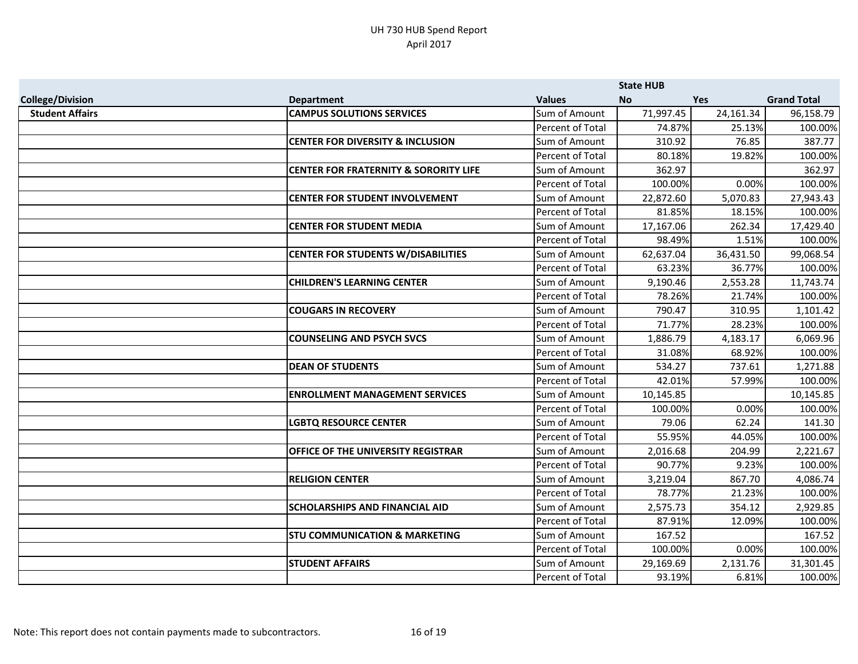|                         |                                                  |                  | <b>State HUB</b> |           |                    |
|-------------------------|--------------------------------------------------|------------------|------------------|-----------|--------------------|
| <b>College/Division</b> | <b>Department</b>                                | <b>Values</b>    | <b>No</b>        | Yes       | <b>Grand Total</b> |
| <b>Student Affairs</b>  | <b>CAMPUS SOLUTIONS SERVICES</b>                 | Sum of Amount    | 71,997.45        | 24,161.34 | 96,158.79          |
|                         |                                                  | Percent of Total | 74.87%           | 25.13%    | 100.00%            |
|                         | <b>CENTER FOR DIVERSITY &amp; INCLUSION</b>      | Sum of Amount    | 310.92           | 76.85     | 387.77             |
|                         |                                                  | Percent of Total | 80.18%           | 19.82%    | 100.00%            |
|                         | <b>CENTER FOR FRATERNITY &amp; SORORITY LIFE</b> | Sum of Amount    | 362.97           |           | 362.97             |
|                         |                                                  | Percent of Total | 100.00%          | 0.00%     | 100.00%            |
|                         | <b>CENTER FOR STUDENT INVOLVEMENT</b>            | Sum of Amount    | 22,872.60        | 5,070.83  | 27,943.43          |
|                         |                                                  | Percent of Total | 81.85%           | 18.15%    | 100.00%            |
|                         | <b>CENTER FOR STUDENT MEDIA</b>                  | Sum of Amount    | 17,167.06        | 262.34    | 17,429.40          |
|                         |                                                  | Percent of Total | 98.49%           | 1.51%     | 100.00%            |
|                         | <b>CENTER FOR STUDENTS W/DISABILITIES</b>        | Sum of Amount    | 62,637.04        | 36,431.50 | 99,068.54          |
|                         |                                                  | Percent of Total | 63.23%           | 36.77%    | 100.00%            |
|                         | <b>CHILDREN'S LEARNING CENTER</b>                | Sum of Amount    | 9,190.46         | 2,553.28  | 11,743.74          |
|                         |                                                  | Percent of Total | 78.26%           | 21.74%    | 100.00%            |
|                         | <b>COUGARS IN RECOVERY</b>                       | Sum of Amount    | 790.47           | 310.95    | 1,101.42           |
|                         |                                                  | Percent of Total | 71.77%           | 28.23%    | 100.00%            |
|                         | <b>COUNSELING AND PSYCH SVCS</b>                 | Sum of Amount    | 1,886.79         | 4,183.17  | 6,069.96           |
|                         |                                                  | Percent of Total | 31.08%           | 68.92%    | 100.00%            |
|                         | <b>DEAN OF STUDENTS</b>                          | Sum of Amount    | 534.27           | 737.61    | 1,271.88           |
|                         |                                                  | Percent of Total | 42.01%           | 57.99%    | 100.00%            |
|                         | <b>ENROLLMENT MANAGEMENT SERVICES</b>            | Sum of Amount    | 10,145.85        |           | 10,145.85          |
|                         |                                                  | Percent of Total | 100.00%          | 0.00%     | 100.00%            |
|                         | <b>LGBTQ RESOURCE CENTER</b>                     | Sum of Amount    | 79.06            | 62.24     | 141.30             |
|                         |                                                  | Percent of Total | 55.95%           | 44.05%    | 100.00%            |
|                         | <b>OFFICE OF THE UNIVERSITY REGISTRAR</b>        | Sum of Amount    | 2,016.68         | 204.99    | 2,221.67           |
|                         |                                                  | Percent of Total | 90.77%           | 9.23%     | 100.00%            |
|                         | <b>RELIGION CENTER</b>                           | Sum of Amount    | 3,219.04         | 867.70    | 4,086.74           |
|                         |                                                  | Percent of Total | 78.77%           | 21.23%    | 100.00%            |
|                         | <b>SCHOLARSHIPS AND FINANCIAL AID</b>            | Sum of Amount    | 2,575.73         | 354.12    | 2,929.85           |
|                         |                                                  | Percent of Total | 87.91%           | 12.09%    | 100.00%            |
|                         | <b>STU COMMUNICATION &amp; MARKETING</b>         | Sum of Amount    | 167.52           |           | 167.52             |
|                         |                                                  | Percent of Total | 100.00%          | 0.00%     | 100.00%            |
|                         | <b>STUDENT AFFAIRS</b>                           | Sum of Amount    | 29,169.69        | 2,131.76  | 31,301.45          |
|                         |                                                  | Percent of Total | 93.19%           | 6.81%     | 100.00%            |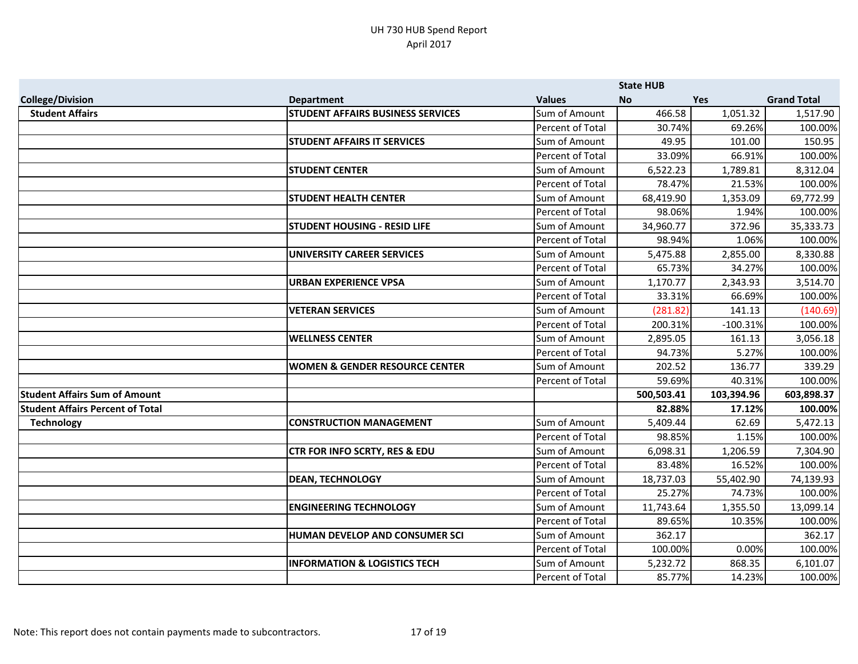|                                         |                                           |                         | <b>State HUB</b> |            |                    |
|-----------------------------------------|-------------------------------------------|-------------------------|------------------|------------|--------------------|
| <b>College/Division</b>                 | <b>Department</b>                         | <b>Values</b>           | <b>No</b>        | <b>Yes</b> | <b>Grand Total</b> |
| <b>Student Affairs</b>                  | <b>STUDENT AFFAIRS BUSINESS SERVICES</b>  | Sum of Amount           | 466.58           | 1,051.32   | 1,517.90           |
|                                         |                                           | Percent of Total        | 30.74%           | 69.26%     | 100.00%            |
|                                         | <b>STUDENT AFFAIRS IT SERVICES</b>        | Sum of Amount           | 49.95            | 101.00     | 150.95             |
|                                         |                                           | Percent of Total        | 33.09%           | 66.91%     | 100.00%            |
|                                         | <b>STUDENT CENTER</b>                     | Sum of Amount           | 6,522.23         | 1,789.81   | 8,312.04           |
|                                         |                                           | Percent of Total        | 78.47%           | 21.53%     | 100.00%            |
|                                         | <b>STUDENT HEALTH CENTER</b>              | Sum of Amount           | 68,419.90        | 1,353.09   | 69,772.99          |
|                                         |                                           | Percent of Total        | 98.06%           | 1.94%      | 100.00%            |
|                                         | <b>STUDENT HOUSING - RESID LIFE</b>       | Sum of Amount           | 34,960.77        | 372.96     | 35,333.73          |
|                                         |                                           | <b>Percent of Total</b> | 98.94%           | 1.06%      | 100.00%            |
|                                         | <b>UNIVERSITY CAREER SERVICES</b>         | Sum of Amount           | 5,475.88         | 2,855.00   | 8,330.88           |
|                                         |                                           | Percent of Total        | 65.73%           | 34.27%     | 100.00%            |
|                                         | URBAN EXPERIENCE VPSA                     | Sum of Amount           | 1,170.77         | 2,343.93   | 3,514.70           |
|                                         |                                           | Percent of Total        | 33.31%           | 66.69%     | 100.00%            |
|                                         | <b>VETERAN SERVICES</b>                   | Sum of Amount           | (281.82)         | 141.13     | (140.69)           |
|                                         |                                           | Percent of Total        | 200.31%          | $-100.31%$ | 100.00%            |
|                                         | <b>WELLNESS CENTER</b>                    | Sum of Amount           | 2,895.05         | 161.13     | 3,056.18           |
|                                         |                                           | Percent of Total        | 94.73%           | 5.27%      | 100.00%            |
|                                         | <b>WOMEN &amp; GENDER RESOURCE CENTER</b> | Sum of Amount           | 202.52           | 136.77     | 339.29             |
|                                         |                                           | Percent of Total        | 59.69%           | 40.31%     | 100.00%            |
| <b>Student Affairs Sum of Amount</b>    |                                           |                         | 500,503.41       | 103,394.96 | 603,898.37         |
| <b>Student Affairs Percent of Total</b> |                                           |                         | 82.88%           | 17.12%     | 100.00%            |
| <b>Technology</b>                       | <b>CONSTRUCTION MANAGEMENT</b>            | Sum of Amount           | 5,409.44         | 62.69      | 5,472.13           |
|                                         |                                           | <b>Percent of Total</b> | 98.85%           | 1.15%      | 100.00%            |
|                                         | <b>CTR FOR INFO SCRTY, RES &amp; EDU</b>  | Sum of Amount           | 6,098.31         | 1,206.59   | 7,304.90           |
|                                         |                                           | Percent of Total        | 83.48%           | 16.52%     | 100.00%            |
|                                         | <b>DEAN, TECHNOLOGY</b>                   | Sum of Amount           | 18,737.03        | 55,402.90  | 74,139.93          |
|                                         |                                           | Percent of Total        | 25.27%           | 74.73%     | 100.00%            |
|                                         | <b>ENGINEERING TECHNOLOGY</b>             | Sum of Amount           | 11,743.64        | 1,355.50   | 13,099.14          |
|                                         |                                           | Percent of Total        | 89.65%           | 10.35%     | 100.00%            |
|                                         | <b>HUMAN DEVELOP AND CONSUMER SCI</b>     | Sum of Amount           | 362.17           |            | 362.17             |
|                                         |                                           | Percent of Total        | 100.00%          | 0.00%      | 100.00%            |
|                                         | <b>INFORMATION &amp; LOGISTICS TECH</b>   | Sum of Amount           | 5,232.72         | 868.35     | 6,101.07           |
|                                         |                                           | Percent of Total        | 85.77%           | 14.23%     | 100.00%            |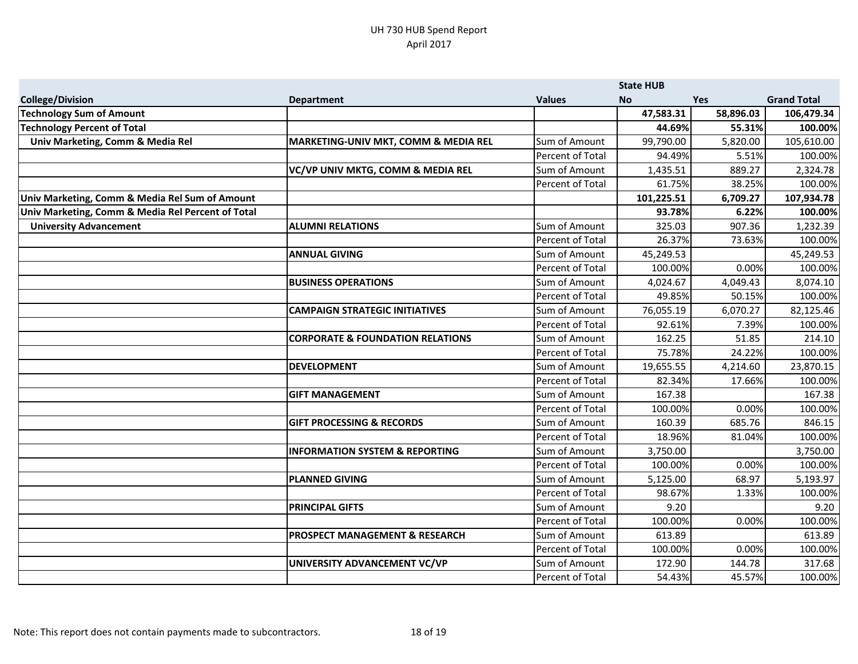|                                                   |                                             |                         | <b>State HUB</b> |           |                    |
|---------------------------------------------------|---------------------------------------------|-------------------------|------------------|-----------|--------------------|
| <b>College/Division</b>                           | <b>Department</b>                           | <b>Values</b>           | <b>No</b>        | Yes       | <b>Grand Total</b> |
| Technology Sum of Amount                          |                                             |                         | 47,583.31        | 58,896.03 | 106,479.34         |
| <b>Technology Percent of Total</b>                |                                             |                         | 44.69%           | 55.31%    | 100.00%            |
| Univ Marketing, Comm & Media Rel                  | MARKETING-UNIV MKT, COMM & MEDIA REL        | Sum of Amount           | 99,790.00        | 5,820.00  | 105,610.00         |
|                                                   |                                             | Percent of Total        | 94.49%           | 5.51%     | 100.00%            |
|                                                   | VC/VP UNIV MKTG, COMM & MEDIA REL           | Sum of Amount           | 1,435.51         | 889.27    | 2,324.78           |
|                                                   |                                             | Percent of Total        | 61.75%           | 38.25%    | 100.00%            |
| Univ Marketing, Comm & Media Rel Sum of Amount    |                                             |                         | 101,225.51       | 6,709.27  | 107,934.78         |
| Univ Marketing, Comm & Media Rel Percent of Total |                                             |                         | 93.78%           | 6.22%     | 100.00%            |
| <b>University Advancement</b>                     | <b>ALUMNI RELATIONS</b>                     | Sum of Amount           | 325.03           | 907.36    | 1,232.39           |
|                                                   |                                             | Percent of Total        | 26.37%           | 73.63%    | 100.00%            |
|                                                   | <b>ANNUAL GIVING</b>                        | Sum of Amount           | 45,249.53        |           | 45,249.53          |
|                                                   |                                             | Percent of Total        | 100.00%          | 0.00%     | 100.00%            |
|                                                   | <b>BUSINESS OPERATIONS</b>                  | Sum of Amount           | 4,024.67         | 4,049.43  | 8,074.10           |
|                                                   |                                             | Percent of Total        | 49.85%           | 50.15%    | 100.00%            |
|                                                   | <b>CAMPAIGN STRATEGIC INITIATIVES</b>       | Sum of Amount           | 76,055.19        | 6,070.27  | 82,125.46          |
|                                                   |                                             | <b>Percent of Total</b> | 92.61%           | 7.39%     | 100.00%            |
|                                                   | <b>CORPORATE &amp; FOUNDATION RELATIONS</b> | Sum of Amount           | 162.25           | 51.85     | 214.10             |
|                                                   |                                             | Percent of Total        | 75.78%           | 24.22%    | 100.00%            |
|                                                   | <b>DEVELOPMENT</b>                          | Sum of Amount           | 19,655.55        | 4,214.60  | 23,870.15          |
|                                                   |                                             | Percent of Total        | 82.34%           | 17.66%    | 100.00%            |
|                                                   | <b>GIFT MANAGEMENT</b>                      | Sum of Amount           | 167.38           |           | 167.38             |
|                                                   |                                             | Percent of Total        | 100.00%          | 0.00%     | 100.00%            |
|                                                   | <b>GIFT PROCESSING &amp; RECORDS</b>        | Sum of Amount           | 160.39           | 685.76    | 846.15             |
|                                                   |                                             | Percent of Total        | 18.96%           | 81.04%    | 100.00%            |
|                                                   | <b>INFORMATION SYSTEM &amp; REPORTING</b>   | Sum of Amount           | 3,750.00         |           | 3,750.00           |
|                                                   |                                             | Percent of Total        | 100.00%          | 0.00%     | 100.00%            |
|                                                   | <b>PLANNED GIVING</b>                       | Sum of Amount           | 5,125.00         | 68.97     | 5,193.97           |
|                                                   |                                             | Percent of Total        | 98.67%           | 1.33%     | 100.00%            |
|                                                   | <b>PRINCIPAL GIFTS</b>                      | Sum of Amount           | 9.20             |           | 9.20               |
|                                                   |                                             | Percent of Total        | 100.00%          | 0.00%     | 100.00%            |
|                                                   | <b>PROSPECT MANAGEMENT &amp; RESEARCH</b>   | Sum of Amount           | 613.89           |           | 613.89             |
|                                                   |                                             | Percent of Total        | 100.00%          | 0.00%     | 100.00%            |
|                                                   | UNIVERSITY ADVANCEMENT VC/VP                | Sum of Amount           | 172.90           | 144.78    | 317.68             |
|                                                   |                                             | Percent of Total        | 54.43%           | 45.57%    | 100.00%            |